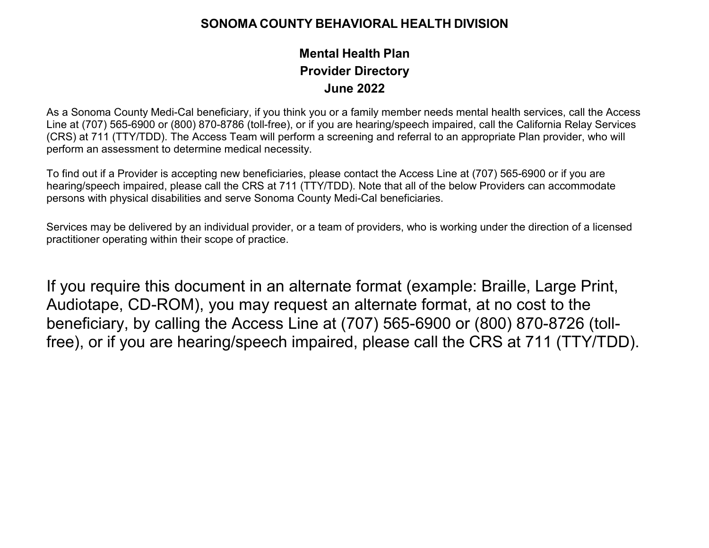## **SONOMA COUNTY BEHAVIORAL HEALTH DIVISION**

## **Mental Health Plan June 2022 Provider Directory**

 As a Sonoma County Medi-Cal beneficiary, if you think you or a family member needs mental health services, call the Access (CRS) at 711 (TTY/TDD). The Access Team will perform a screening and referral to an appropriate Plan provider, who will Line at (707) 565-6900 or (800) 870-8786 (toll-free), or if you are hearing/speech impaired, call the California Relay Services perform an assessment to determine medical necessity.

To find out if a Provider is accepting new beneficiaries, please contact the Access Line at (707) 565-6900 or if you are hearing/speech impaired, please call the CRS at 711 (TTY/TDD). Note that all of the below Providers can accommodate persons with physical disabilities and serve Sonoma County Medi-Cal beneficiaries.

 Services may be delivered by an individual provider, or a team of providers, who is working under the direction of a licensed practitioner operating within their scope of practice.

 free), or if you are hearing/speech impaired, please call the CRS at 711 (TTY/TDD). If you require this document in an alternate format (example: Braille, Large Print, Audiotape, CD-ROM), you may request an alternate format, at no cost to the beneficiary, by calling the Access Line at (707) 565-6900 or (800) 870-8726 (toll-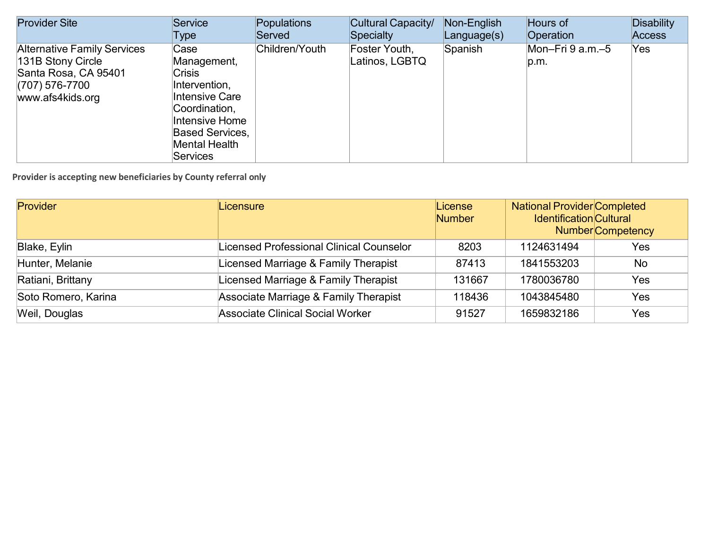| <b>Provider Site</b>                                                                                                    | Service                                                                                                                                                                  | Populations    | Cultural Capacity/              | Non-English | Hours of                 | <b>Disability</b> |
|-------------------------------------------------------------------------------------------------------------------------|--------------------------------------------------------------------------------------------------------------------------------------------------------------------------|----------------|---------------------------------|-------------|--------------------------|-------------------|
|                                                                                                                         | Type                                                                                                                                                                     | Served         | <b>Specialty</b>                | Language(s) | Operation                | <b>Access</b>     |
| <b>Alternative Family Services</b><br>131B Stony Circle<br>Santa Rosa, CA 95401<br>$(707)$ 576-7700<br>www.afs4kids.org | Case<br>Management,<br><b>Crisis</b><br>Intervention,<br>Intensive Care<br>Coordination,<br>Intensive Home<br><b>Based Services.</b><br>Mental Health<br><b>Services</b> | Children/Youth | Foster Youth,<br>Latinos, LGBTQ | Spanish     | Mon-Fri 9 a.m.-5<br>p.m. | Yes               |

| Provider            | Licensure                                | License<br><b>Number</b> | <b>National Provider Completed</b><br><b>Identification Cultural</b> | <b>Number</b> Competency |
|---------------------|------------------------------------------|--------------------------|----------------------------------------------------------------------|--------------------------|
| Blake, Eylin        | Licensed Professional Clinical Counselor | 8203                     | 1124631494                                                           | Yes                      |
| Hunter, Melanie     | Licensed Marriage & Family Therapist     | 87413                    | 1841553203                                                           | No                       |
| Ratiani, Brittany   | Licensed Marriage & Family Therapist     | 131667                   | 1780036780                                                           | <b>Yes</b>               |
| Soto Romero, Karina | Associate Marriage & Family Therapist    | 118436                   | 1043845480                                                           | Yes                      |
| Weil, Douglas       | <b>Associate Clinical Social Worker</b>  | 91527                    | 1659832186                                                           | Yes                      |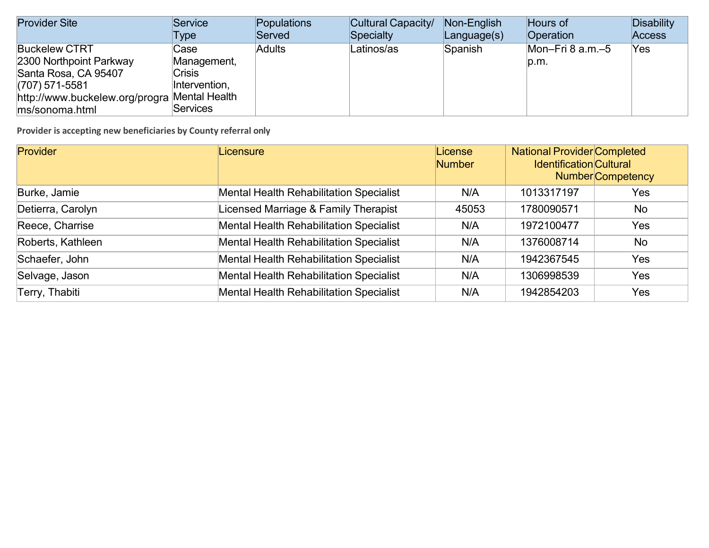| <b>Provider Site</b>                         | Service         | Populations   | Cultural Capacity/ | Non-English | Hours of         | Disability    |
|----------------------------------------------|-----------------|---------------|--------------------|-------------|------------------|---------------|
|                                              | Type            | Served        | Specialty          | Language(s) | Operation        | <b>Access</b> |
| <b>Buckelew CTRT</b>                         | Case            | <b>Adults</b> | Latinos/as         | Spanish     | Mon-Fri 8 a.m.-5 | Yes.          |
| 2300 Northpoint Parkway                      | Management,     |               |                    |             | p.m.             |               |
| Santa Rosa, CA 95407                         | <b>Crisis</b>   |               |                    |             |                  |               |
| $(707)$ 571-5581                             | Intervention,   |               |                    |             |                  |               |
| http://www.buckelew.org/progra Mental Health |                 |               |                    |             |                  |               |
| ms/sonoma.html                               | <b>Services</b> |               |                    |             |                  |               |

| <b>Provider</b>   | Licensure                                      | License<br><b>Number</b> | <b>National Provider Completed</b><br><b>Identification Cultural</b> | <b>Number</b> Competency |
|-------------------|------------------------------------------------|--------------------------|----------------------------------------------------------------------|--------------------------|
| Burke, Jamie      | <b>Mental Health Rehabilitation Specialist</b> | N/A                      | 1013317197                                                           | Yes                      |
| Detierra, Carolyn | Licensed Marriage & Family Therapist           | 45053                    | 1780090571                                                           | No                       |
| Reece, Charrise   | <b>Mental Health Rehabilitation Specialist</b> | N/A                      | 1972100477                                                           | Yes                      |
| Roberts, Kathleen | <b>Mental Health Rehabilitation Specialist</b> | N/A                      | 1376008714                                                           | <b>No</b>                |
| Schaefer, John    | <b>Mental Health Rehabilitation Specialist</b> | N/A                      | 1942367545                                                           | Yes                      |
| Selvage, Jason    | <b>Mental Health Rehabilitation Specialist</b> | N/A                      | 1306998539                                                           | Yes                      |
| Terry, Thabiti    | <b>Mental Health Rehabilitation Specialist</b> | N/A                      | 1942854203                                                           | Yes                      |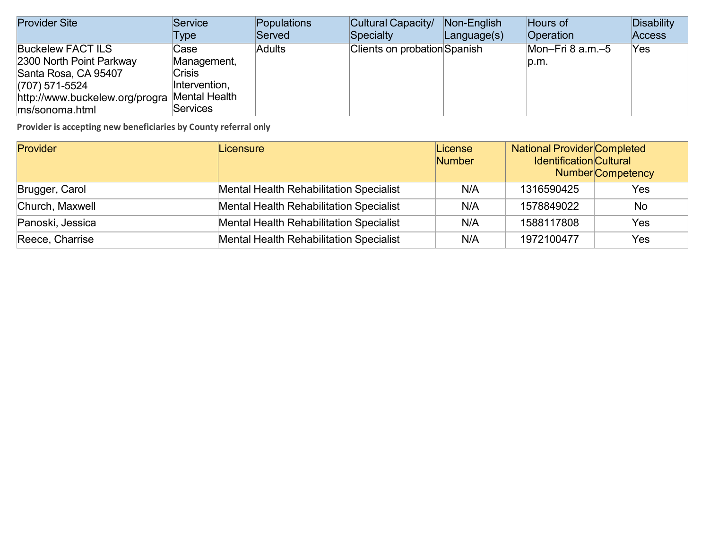| <b>Provider Site</b>                                                                                                                                 | Service                                                                                   | Populations   | Cultural Capacity/                  | Non-English | Hours of                   | Disability    |
|------------------------------------------------------------------------------------------------------------------------------------------------------|-------------------------------------------------------------------------------------------|---------------|-------------------------------------|-------------|----------------------------|---------------|
|                                                                                                                                                      | Type                                                                                      | Served        | Specialty                           | Language(s) | <b>Operation</b>           | <b>Access</b> |
| <b>Buckelew FACT ILS</b><br>2300 North Point Parkway<br>Santa Rosa, CA 95407<br>$(707)$ 571-5524<br>http://www.buckelew.org/progra<br>ms/sonoma.html | Case<br>Management,<br><b>Crisis</b><br>Intervention,<br>Mental Health<br><b>Services</b> | <b>Adults</b> | <b>Clients on probation Spanish</b> |             | Mon-Fri 8 $a.m.-5$<br>p.m. | 'Yes          |

| Provider         | Licensure                                      | License<br><b>Number</b> | <b>National Provider Completed</b><br><b>Identification</b> Cultural | <b>Number</b> Competency |
|------------------|------------------------------------------------|--------------------------|----------------------------------------------------------------------|--------------------------|
| Brugger, Carol   | <b>Mental Health Rehabilitation Specialist</b> | N/A                      | 1316590425                                                           | Yes                      |
| Church, Maxwell  | <b>Mental Health Rehabilitation Specialist</b> | N/A                      | 1578849022                                                           | No                       |
| Panoski, Jessica | <b>Mental Health Rehabilitation Specialist</b> | N/A                      | 1588117808                                                           | Yes.                     |
| Reece, Charrise  | <b>Mental Health Rehabilitation Specialist</b> | N/A                      | 1972100477                                                           | Yes                      |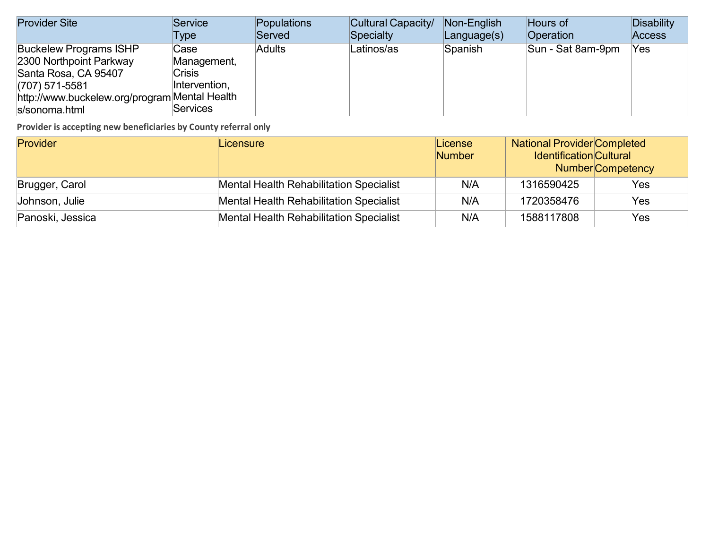| <b>Provider Site</b>                                                                                                                                                   | Service                                                                  | Populations   | Cultural Capacity/ | Non-English | Hours of          | <b>Disability</b> |
|------------------------------------------------------------------------------------------------------------------------------------------------------------------------|--------------------------------------------------------------------------|---------------|--------------------|-------------|-------------------|-------------------|
|                                                                                                                                                                        | Type                                                                     | Served        | Specialty          | Language(s) | Operation         | Access            |
| <b>Buckelew Programs ISHP</b><br>2300 Northpoint Parkway<br>Santa Rosa, CA 95407<br>$(707)$ 571-5581<br>http://www.buckelew.org/program Mental Health<br>s/sonoma.html | Case<br>Management,<br><b>Crisis</b><br>Intervention,<br><b>Services</b> | <b>Adults</b> | Latinos/as         | Spanish     | Sun - Sat 8am-9pm | Yes               |

| Provider         | Licensure                                      | License<br><b>Number</b> | <b>National Provider Completed</b><br><b>Identification</b> Cultural<br><b>Number</b> Competency |     |
|------------------|------------------------------------------------|--------------------------|--------------------------------------------------------------------------------------------------|-----|
| Brugger, Carol   | <b>Mental Health Rehabilitation Specialist</b> | N/A                      | 1316590425                                                                                       | Yes |
| Johnson, Julie   | <b>Mental Health Rehabilitation Specialist</b> | N/A                      | 1720358476                                                                                       | Yes |
| Panoski, Jessica | <b>Mental Health Rehabilitation Specialist</b> | N/A                      | 1588117808                                                                                       | Yes |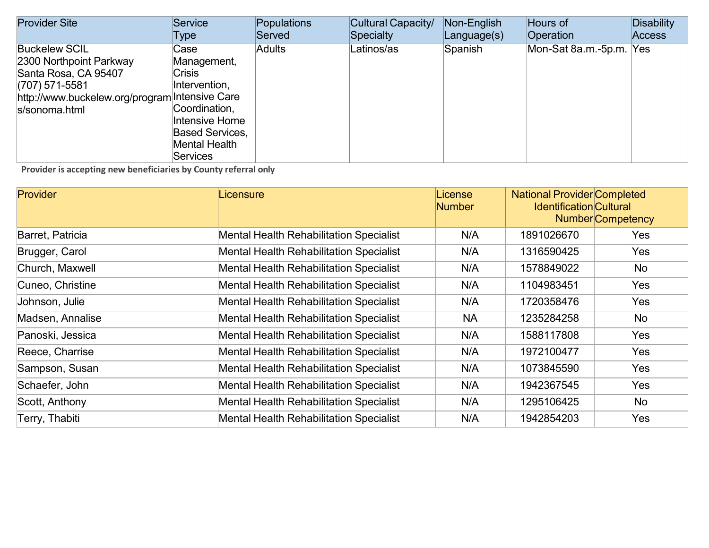| <b>Provider Site</b>                                                                                                                                           | Service                                                                                                                                         | Populations   | Cultural Capacity/ | Non-English | Hours of                | Disability    |
|----------------------------------------------------------------------------------------------------------------------------------------------------------------|-------------------------------------------------------------------------------------------------------------------------------------------------|---------------|--------------------|-------------|-------------------------|---------------|
|                                                                                                                                                                | Type                                                                                                                                            | Served        | Specialty          | Language(s) | Operation               | <b>Access</b> |
| <b>Buckelew SCIL</b><br>2300 Northpoint Parkway<br>Santa Rosa, CA 95407<br>$(707)$ 571-5581<br>http://www.buckelew.org/program Intensive Care<br>s/sonoma.html | Case<br>Management,<br><b>Crisis</b><br>Intervention,<br>Coordination,<br>Intensive Home<br><b>Based Services,</b><br>Mental Health<br>Services | <b>Adults</b> | Latinos/as         | Spanish     | Mon-Sat 8a.m.-5p.m. Yes |               |

| <b>Provider</b>  | Licensure                                      | License<br><b>Number</b> | <b>National Provider Completed</b><br><b>Identification Cultural</b> | <b>Number</b> Competency |
|------------------|------------------------------------------------|--------------------------|----------------------------------------------------------------------|--------------------------|
| Barret, Patricia | <b>Mental Health Rehabilitation Specialist</b> | N/A                      | 1891026670                                                           | Yes                      |
| Brugger, Carol   | <b>Mental Health Rehabilitation Specialist</b> | N/A                      | 1316590425                                                           | Yes                      |
| Church, Maxwell  | <b>Mental Health Rehabilitation Specialist</b> | N/A                      | 1578849022                                                           | No                       |
| Cuneo, Christine | <b>Mental Health Rehabilitation Specialist</b> | N/A                      | 1104983451                                                           | Yes                      |
| Johnson, Julie   | <b>Mental Health Rehabilitation Specialist</b> | N/A                      | 1720358476                                                           | Yes                      |
| Madsen, Annalise | <b>Mental Health Rehabilitation Specialist</b> | <b>NA</b>                | 1235284258                                                           | No                       |
| Panoski, Jessica | <b>Mental Health Rehabilitation Specialist</b> | N/A                      | 1588117808                                                           | <b>Yes</b>               |
| Reece, Charrise  | <b>Mental Health Rehabilitation Specialist</b> | N/A                      | 1972100477                                                           | Yes                      |
| Sampson, Susan   | <b>Mental Health Rehabilitation Specialist</b> | N/A                      | 1073845590                                                           | <b>Yes</b>               |
| Schaefer, John   | <b>Mental Health Rehabilitation Specialist</b> | N/A                      | 1942367545                                                           | Yes                      |
| Scott, Anthony   | <b>Mental Health Rehabilitation Specialist</b> | N/A                      | 1295106425                                                           | No                       |
| Terry, Thabiti   | <b>Mental Health Rehabilitation Specialist</b> | N/A                      | 1942854203                                                           | Yes                      |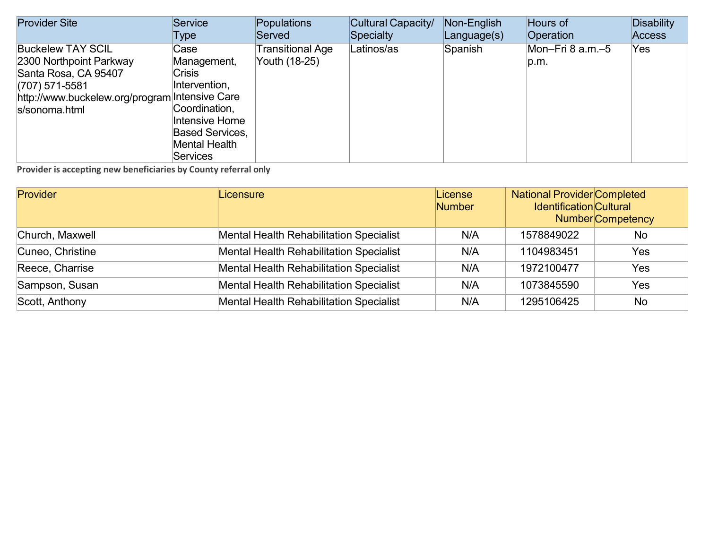| <b>Provider Site</b>                                                                                                                                               | Service                                                                                                                                                | Populations                       | Cultural Capacity/ | Non-English | Hours of                 | <b>Disability</b> |
|--------------------------------------------------------------------------------------------------------------------------------------------------------------------|--------------------------------------------------------------------------------------------------------------------------------------------------------|-----------------------------------|--------------------|-------------|--------------------------|-------------------|
|                                                                                                                                                                    | Type                                                                                                                                                   | Served                            | Specialty          | Language(s) | Operation                | <b>Access</b>     |
| <b>Buckelew TAY SCIL</b><br>2300 Northpoint Parkway<br>Santa Rosa, CA 95407<br>$(707)$ 571-5581<br>http://www.buckelew.org/program Intensive Care<br>s/sonoma.html | Case<br>Management,<br><b>Crisis</b><br>Intervention,<br>Coordination,<br>Intensive Home<br><b>Based Services,</b><br>Mental Health<br><b>Services</b> | Transitional Age<br>Youth (18-25) | Latinos/as         | Spanish     | Mon–Fri 8 a.m.–5<br>p.m. | Yes               |

| <b>Provider</b>  | Licensure                                      | License<br><b>Number</b> | <b>National Provider Completed</b><br><b>Identification Cultural</b> | <b>Number</b> Competency |
|------------------|------------------------------------------------|--------------------------|----------------------------------------------------------------------|--------------------------|
| Church, Maxwell  | <b>Mental Health Rehabilitation Specialist</b> | N/A                      | 1578849022                                                           | <b>No</b>                |
| Cuneo, Christine | <b>Mental Health Rehabilitation Specialist</b> | N/A                      | 1104983451                                                           | Yes                      |
| Reece, Charrise  | <b>Mental Health Rehabilitation Specialist</b> | N/A                      | 1972100477                                                           | Yes                      |
| Sampson, Susan   | <b>Mental Health Rehabilitation Specialist</b> | N/A                      | 1073845590                                                           | Yes                      |
| Scott, Anthony   | <b>Mental Health Rehabilitation Specialist</b> | N/A                      | 1295106425                                                           | <b>No</b>                |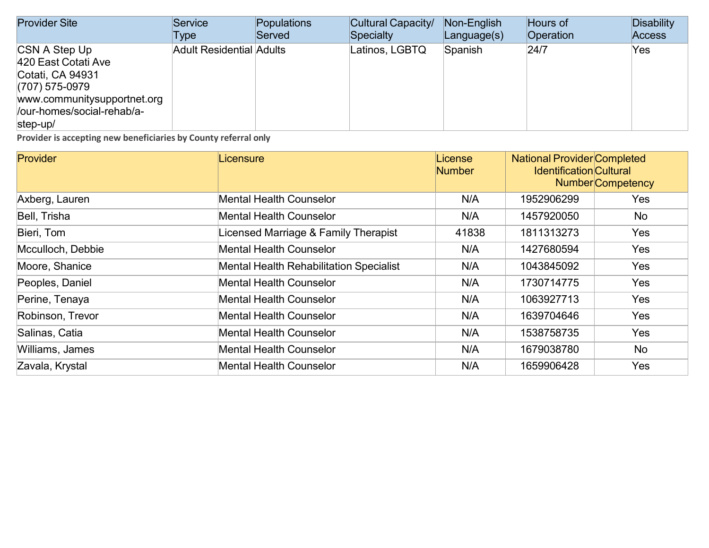| <b>Provider Site</b>                                                                                                                                  | Service                         | Populations | Cultural Capacity/ | Non-English       | Hours of  | Disability    |
|-------------------------------------------------------------------------------------------------------------------------------------------------------|---------------------------------|-------------|--------------------|-------------------|-----------|---------------|
|                                                                                                                                                       | Type                            | Served      | Specialty          | $L$ anguage $(s)$ | Operation | <b>Access</b> |
| CSN A Step Up<br>420 East Cotati Ave<br>Cotati, CA 94931<br>$(707)$ 575-0979<br>www.communitysupportnet.org<br>/our-homes/social-rehab/a-<br>step-up/ | <b>Adult Residential Adults</b> |             | Latinos, LGBTQ     | Spanish           | 24/7      | Yes           |

| <b>Provider</b>   | Licensure                                      | License<br><b>Number</b> | <b>National Provider Completed</b><br><b>Identification Cultural</b> | <b>Number</b> Competency |
|-------------------|------------------------------------------------|--------------------------|----------------------------------------------------------------------|--------------------------|
| Axberg, Lauren    | <b>Mental Health Counselor</b>                 | N/A                      | 1952906299                                                           | <b>Yes</b>               |
| Bell, Trisha      | <b>Mental Health Counselor</b>                 | N/A                      | 1457920050                                                           | No                       |
| Bieri, Tom        | Licensed Marriage & Family Therapist           | 41838                    | 1811313273                                                           | Yes                      |
| Mcculloch, Debbie | <b>Mental Health Counselor</b>                 | N/A                      | 1427680594                                                           | <b>Yes</b>               |
| Moore, Shanice    | <b>Mental Health Rehabilitation Specialist</b> | N/A                      | 1043845092                                                           | <b>Yes</b>               |
| Peoples, Daniel   | <b>Mental Health Counselor</b>                 | N/A                      | 1730714775                                                           | <b>Yes</b>               |
| Perine, Tenaya    | <b>Mental Health Counselor</b>                 | N/A                      | 1063927713                                                           | <b>Yes</b>               |
| Robinson, Trevor  | <b>Mental Health Counselor</b>                 | N/A                      | 1639704646                                                           | <b>Yes</b>               |
| Salinas, Catia    | <b>Mental Health Counselor</b>                 | N/A                      | 1538758735                                                           | <b>Yes</b>               |
| Williams, James   | <b>Mental Health Counselor</b>                 | N/A                      | 1679038780                                                           | No                       |
| Zavala, Krystal   | <b>Mental Health Counselor</b>                 | N/A                      | 1659906428                                                           | <b>Yes</b>               |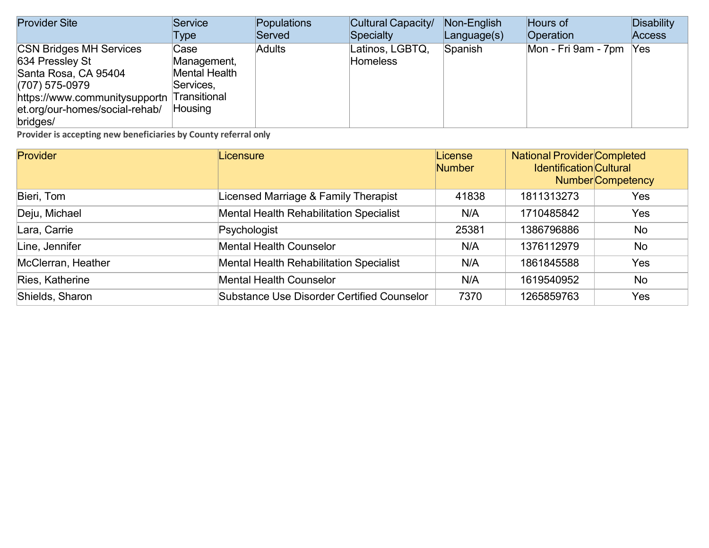| <b>Provider Site</b>                       | Service       | Populations   | Cultural Capacity/ | Non-English       | Hours of            | Disability    |
|--------------------------------------------|---------------|---------------|--------------------|-------------------|---------------------|---------------|
|                                            | Type          | Served        | Specialty          | $L$ anguage $(s)$ | <b>Operation</b>    | <b>Access</b> |
| <b>CSN Bridges MH Services</b>             | Case          | <b>Adults</b> | Latinos, LGBTQ,    | Spanish           | Mon - Fri 9am - 7pm | Yes           |
| 634 Pressley St                            | Management,   |               | <b>Homeless</b>    |                   |                     |               |
| Santa Rosa, CA 95404                       | Mental Health |               |                    |                   |                     |               |
| $(707)$ 575-0979                           | Services,     |               |                    |                   |                     |               |
| https://www.communitysupportn Transitional |               |               |                    |                   |                     |               |
| et.org/our-homes/social-rehab/             | Housing       |               |                    |                   |                     |               |
| bridges/                                   |               |               |                    |                   |                     |               |

| Provider           | Licensure                                         | License<br><b>Number</b> | <b>National Provider Completed</b><br><b>Identification Cultural</b><br><b>Number</b> Competency |           |
|--------------------|---------------------------------------------------|--------------------------|--------------------------------------------------------------------------------------------------|-----------|
| Bieri, Tom         | Licensed Marriage & Family Therapist              | 41838                    | 1811313273                                                                                       | Yes       |
| Deju, Michael      | <b>Mental Health Rehabilitation Specialist</b>    | N/A                      | 1710485842                                                                                       | Yes       |
| Lara, Carrie       | Psychologist                                      | 25381                    | 1386796886                                                                                       | No        |
| Line, Jennifer     | <b>Mental Health Counselor</b>                    | N/A                      | 1376112979                                                                                       | <b>No</b> |
| McClerran, Heather | <b>Mental Health Rehabilitation Specialist</b>    | N/A                      | 1861845588                                                                                       | Yes       |
| Ries, Katherine    | <b>Mental Health Counselor</b>                    | N/A                      | 1619540952                                                                                       | <b>No</b> |
| Shields, Sharon    | <b>Substance Use Disorder Certified Counselor</b> | 7370                     | 1265859763                                                                                       | Yes       |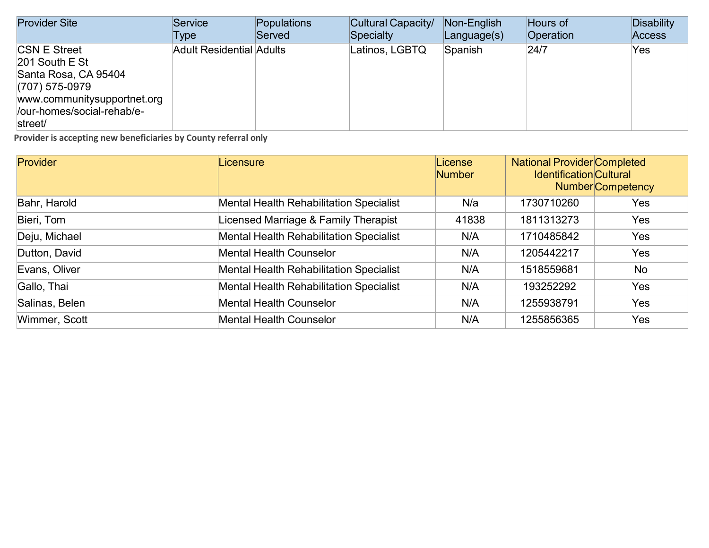| <b>Provider Site</b>        | <b>Service</b>                  | Populations | Cultural Capacity/ | Non-English | Hours of         | Disability    |
|-----------------------------|---------------------------------|-------------|--------------------|-------------|------------------|---------------|
|                             | Type                            | Served      | Specialty          | Language(s) | <b>Operation</b> | <b>Access</b> |
| <b>CSN E Street</b>         | <b>Adult Residential Adults</b> |             | Latinos, LGBTQ     | Spanish     | 24/7             | Yes           |
| 201 South E St              |                                 |             |                    |             |                  |               |
| Santa Rosa, CA 95404        |                                 |             |                    |             |                  |               |
| $(707)$ 575-0979            |                                 |             |                    |             |                  |               |
| www.communitysupportnet.org |                                 |             |                    |             |                  |               |
| /our-homes/social-rehab/e-  |                                 |             |                    |             |                  |               |
| street/                     |                                 |             |                    |             |                  |               |

| Provider       | Licensure                                      | License<br><b>Number</b> | <b>National Provider Completed</b><br><b>Identification Cultural</b> | <b>Number</b> Competency |
|----------------|------------------------------------------------|--------------------------|----------------------------------------------------------------------|--------------------------|
| Bahr, Harold   | <b>Mental Health Rehabilitation Specialist</b> | N/a                      | 1730710260                                                           | <b>Yes</b>               |
| Bieri, Tom     | Licensed Marriage & Family Therapist           | 41838                    | 1811313273                                                           | <b>Yes</b>               |
| Deju, Michael  | <b>Mental Health Rehabilitation Specialist</b> | N/A                      | 1710485842                                                           | <b>Yes</b>               |
| Dutton, David  | <b>Mental Health Counselor</b>                 | N/A                      | 1205442217                                                           | <b>Yes</b>               |
| Evans, Oliver  | <b>Mental Health Rehabilitation Specialist</b> | N/A                      | 1518559681                                                           | <b>No</b>                |
| Gallo, Thai    | <b>Mental Health Rehabilitation Specialist</b> | N/A                      | 193252292                                                            | <b>Yes</b>               |
| Salinas, Belen | <b>Mental Health Counselor</b>                 | N/A                      | 1255938791                                                           | <b>Yes</b>               |
| Wimmer, Scott  | <b>Mental Health Counselor</b>                 | N/A                      | 1255856365                                                           | <b>Yes</b>               |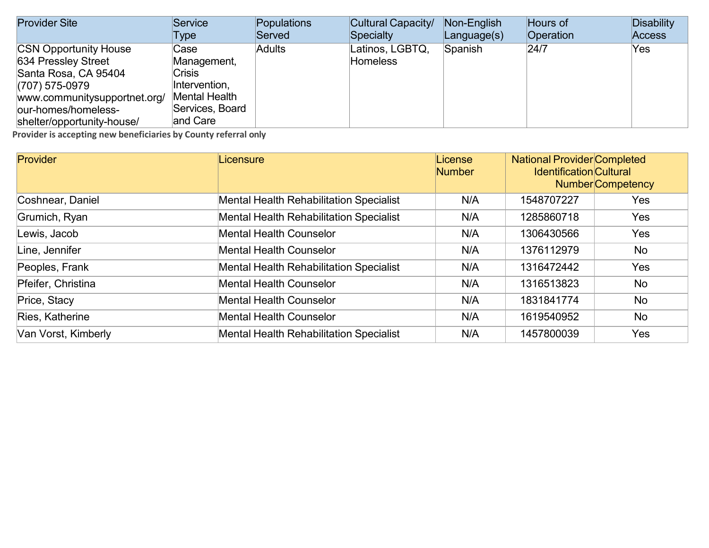| <b>Provider Site</b>         | Service              | Populations   | Cultural Capacity/ | Non-English       | Hours of  | <b>Disability</b> |
|------------------------------|----------------------|---------------|--------------------|-------------------|-----------|-------------------|
|                              | Type                 | Served        | Specialty          | $L$ anguage $(s)$ | Operation | <b>Access</b>     |
| <b>CSN Opportunity House</b> | Case                 | <b>Adults</b> | Latinos, LGBTQ,    | Spanish           | 24/7      | Yes               |
| 634 Pressley Street          | Management,          |               | <b>Homeless</b>    |                   |           |                   |
| Santa Rosa, CA 95404         | <b>Crisis</b>        |               |                    |                   |           |                   |
| $(707)$ 575-0979             | Intervention,        |               |                    |                   |           |                   |
| www.communitysupportnet.org/ | <b>Mental Health</b> |               |                    |                   |           |                   |
| our-homes/homeless-          | Services, Board      |               |                    |                   |           |                   |
| shelter/opportunity-house/   | and Care             |               |                    |                   |           |                   |

| Provider            | Licensure                                      | License<br><b>Number</b> | <b>National Provider Completed</b><br><b>Identification Cultural</b><br><b>Number</b> Competency |     |
|---------------------|------------------------------------------------|--------------------------|--------------------------------------------------------------------------------------------------|-----|
| Coshnear, Daniel    | <b>Mental Health Rehabilitation Specialist</b> | N/A                      | 1548707227                                                                                       | Yes |
| Grumich, Ryan       | <b>Mental Health Rehabilitation Specialist</b> | N/A                      | 1285860718                                                                                       | Yes |
| Lewis, Jacob        | <b>Mental Health Counselor</b>                 | N/A                      | 1306430566                                                                                       | Yes |
| Line, Jennifer      | <b>Mental Health Counselor</b>                 | N/A                      | 1376112979                                                                                       | No  |
| Peoples, Frank      | <b>Mental Health Rehabilitation Specialist</b> | N/A                      | 1316472442                                                                                       | Yes |
| Pfeifer, Christina  | <b>Mental Health Counselor</b>                 | N/A                      | 1316513823                                                                                       | No  |
| Price, Stacy        | <b>Mental Health Counselor</b>                 | N/A                      | 1831841774                                                                                       | No  |
| Ries, Katherine     | <b>Mental Health Counselor</b>                 | N/A                      | 1619540952                                                                                       | No  |
| Van Vorst, Kimberly | <b>Mental Health Rehabilitation Specialist</b> | N/A                      | 1457800039                                                                                       | Yes |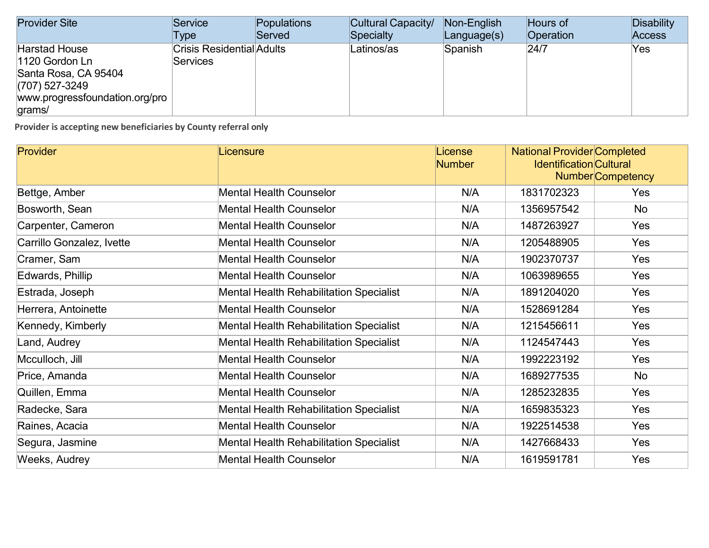| <b>Provider Site</b>                                                                                                           | Service                                             | Populations | Cultural Capacity/ | Non-English       | Hours of  | <b>Disability</b> |
|--------------------------------------------------------------------------------------------------------------------------------|-----------------------------------------------------|-------------|--------------------|-------------------|-----------|-------------------|
|                                                                                                                                | Type                                                | Served      | <b>Specialty</b>   | $L$ anguage $(s)$ | Operation | <b>Access</b>     |
| <b>Harstad House</b><br>1120 Gordon Ln<br>Santa Rosa, CA 95404<br>$(707)$ 527-3249<br>www.progressfoundation.org/pro<br>grams/ | <b>Crisis Residential Adults</b><br><b>Services</b> |             | Latinos/as         | Spanish           | 24/7      | Yes               |

| <b>Provider</b>           | Licensure                                      | License<br><b>Number</b> | <b>National Provider Completed</b><br><b>Identification Cultural</b><br><b>Number</b> Competency |            |
|---------------------------|------------------------------------------------|--------------------------|--------------------------------------------------------------------------------------------------|------------|
| Bettge, Amber             | <b>Mental Health Counselor</b>                 | N/A                      | 1831702323                                                                                       | <b>Yes</b> |
| Bosworth, Sean            | <b>Mental Health Counselor</b>                 | N/A                      | 1356957542                                                                                       | <b>No</b>  |
| Carpenter, Cameron        | <b>Mental Health Counselor</b>                 | N/A                      | 1487263927                                                                                       | Yes        |
| Carrillo Gonzalez, Ivette | <b>Mental Health Counselor</b>                 | N/A                      | 1205488905                                                                                       | Yes        |
| Cramer, Sam               | <b>Mental Health Counselor</b>                 | N/A                      | 1902370737                                                                                       | Yes        |
| Edwards, Phillip          | <b>Mental Health Counselor</b>                 | N/A                      | 1063989655                                                                                       | Yes        |
| Estrada, Joseph           | <b>Mental Health Rehabilitation Specialist</b> | N/A                      | 1891204020                                                                                       | <b>Yes</b> |
| Herrera, Antoinette       | <b>Mental Health Counselor</b>                 | N/A                      | 1528691284                                                                                       | Yes        |
| Kennedy, Kimberly         | <b>Mental Health Rehabilitation Specialist</b> | N/A                      | 1215456611                                                                                       | Yes        |
| Land, Audrey              | <b>Mental Health Rehabilitation Specialist</b> | N/A                      | 1124547443                                                                                       | Yes        |
| Mcculloch, Jill           | <b>Mental Health Counselor</b>                 | N/A                      | 1992223192                                                                                       | Yes        |
| Price, Amanda             | <b>Mental Health Counselor</b>                 | N/A                      | 1689277535                                                                                       | No         |
| Quillen, Emma             | <b>Mental Health Counselor</b>                 | N/A                      | 1285232835                                                                                       | <b>Yes</b> |
| Radecke, Sara             | <b>Mental Health Rehabilitation Specialist</b> | N/A                      | 1659835323                                                                                       | Yes        |
| Raines, Acacia            | <b>Mental Health Counselor</b>                 | N/A                      | 1922514538                                                                                       | Yes        |
| Segura, Jasmine           | <b>Mental Health Rehabilitation Specialist</b> | N/A                      | 1427668433                                                                                       | <b>Yes</b> |
| Weeks, Audrey             | <b>Mental Health Counselor</b>                 | N/A                      | 1619591781                                                                                       | Yes        |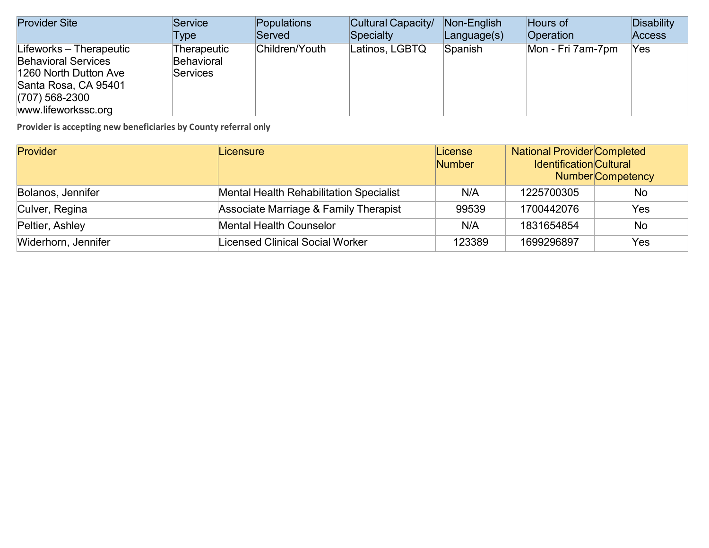| <b>Provider Site</b>                                                                                                                              | Service                                      | Populations    | Cultural Capacity/ | Non-English | Hours of          | Disability    |
|---------------------------------------------------------------------------------------------------------------------------------------------------|----------------------------------------------|----------------|--------------------|-------------|-------------------|---------------|
|                                                                                                                                                   | Type                                         | Served         | Specialty          | Language(s) | <b>Operation</b>  | <b>Access</b> |
| Lifeworks – Therapeutic<br><b>Behavioral Services</b><br>1260 North Dutton Ave<br>Santa Rosa, CA 95401<br>$(707)$ 568-2300<br>www.lifeworkssc.org | Therapeutic<br>Behavioral<br><b>Services</b> | Children/Youth | Latinos, LGBTQ     | Spanish     | Mon - Fri 7am-7pm | Yes           |

| Provider            | Licensure                                      | License<br><b>Number</b> | <b>National Provider Completed</b><br><b>Identification Cultural</b> | <b>Number</b> Competency |
|---------------------|------------------------------------------------|--------------------------|----------------------------------------------------------------------|--------------------------|
| Bolanos, Jennifer   | <b>Mental Health Rehabilitation Specialist</b> | N/A                      | 1225700305                                                           | No                       |
| Culver, Regina      | Associate Marriage & Family Therapist          | 99539                    | 1700442076                                                           | Yes                      |
| Peltier, Ashley     | <b>Mental Health Counselor</b>                 | N/A                      | 1831654854                                                           | <b>No</b>                |
| Widerhorn, Jennifer | <b>Licensed Clinical Social Worker</b>         | 123389                   | 1699296897                                                           | Yes                      |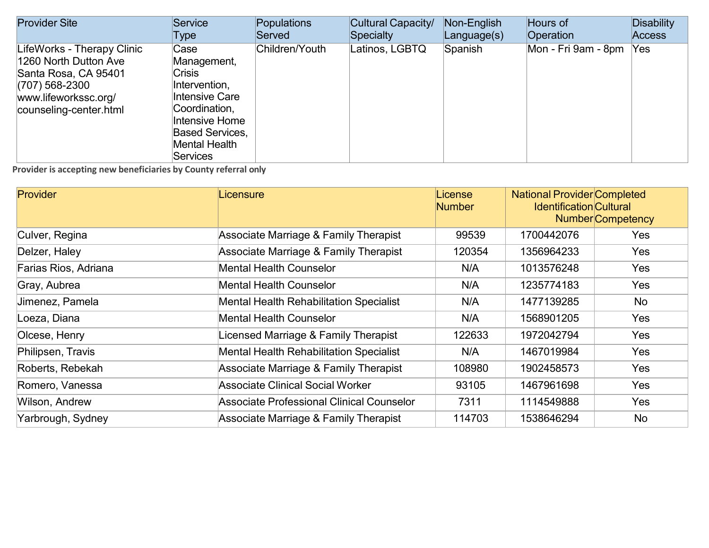| <b>Provider Site</b>                                                                                                                            | Service                                                                                                                                                                  | Populations    | Cultural Capacity/ | Non-English       | Hours of            | Disability    |
|-------------------------------------------------------------------------------------------------------------------------------------------------|--------------------------------------------------------------------------------------------------------------------------------------------------------------------------|----------------|--------------------|-------------------|---------------------|---------------|
|                                                                                                                                                 | Type                                                                                                                                                                     | Served         | Specialty          | $L$ anguage $(s)$ | Operation           | <b>Access</b> |
| LifeWorks - Therapy Clinic<br>1260 North Dutton Ave<br>Santa Rosa, CA 95401<br>(707) 568-2300<br>www.lifeworkssc.org/<br>counseling-center.html | Case<br>Management,<br><b>Crisis</b><br>Intervention,<br>Intensive Care<br>Coordination,<br>Intensive Home<br><b>Based Services,</b><br>Mental Health<br><b>Services</b> | Children/Youth | Latinos, LGBTQ     | Spanish           | Mon - Fri 9am - 8pm | Yes           |

| <b>Provider</b>      | Licensure                                      | License<br><b>Number</b> | <b>National Provider Completed</b><br><b>Identification Cultural</b> | <b>Number</b> Competency |
|----------------------|------------------------------------------------|--------------------------|----------------------------------------------------------------------|--------------------------|
| Culver, Regina       | Associate Marriage & Family Therapist          | 99539                    | 1700442076                                                           | Yes                      |
| Delzer, Haley        | Associate Marriage & Family Therapist          | 120354                   | 1356964233                                                           | Yes                      |
| Farias Rios, Adriana | <b>Mental Health Counselor</b>                 | N/A                      | 1013576248                                                           | <b>Yes</b>               |
| Gray, Aubrea         | <b>Mental Health Counselor</b>                 | N/A                      | 1235774183                                                           | <b>Yes</b>               |
| Jimenez, Pamela      | <b>Mental Health Rehabilitation Specialist</b> | N/A                      | 1477139285                                                           | No                       |
| Loeza, Diana         | <b>Mental Health Counselor</b>                 | N/A                      | 1568901205                                                           | Yes                      |
| Olcese, Henry        | Licensed Marriage & Family Therapist           | 122633                   | 1972042794                                                           | Yes                      |
| Philipsen, Travis    | <b>Mental Health Rehabilitation Specialist</b> | N/A                      | 1467019984                                                           | Yes                      |
| Roberts, Rebekah     | Associate Marriage & Family Therapist          | 108980                   | 1902458573                                                           | Yes                      |
| Romero, Vanessa      | <b>Associate Clinical Social Worker</b>        | 93105                    | 1467961698                                                           | Yes                      |
| Wilson, Andrew       | Associate Professional Clinical Counselor      | 7311                     | 1114549888                                                           | Yes                      |
| Yarbrough, Sydney    | Associate Marriage & Family Therapist          | 114703                   | 1538646294                                                           | No                       |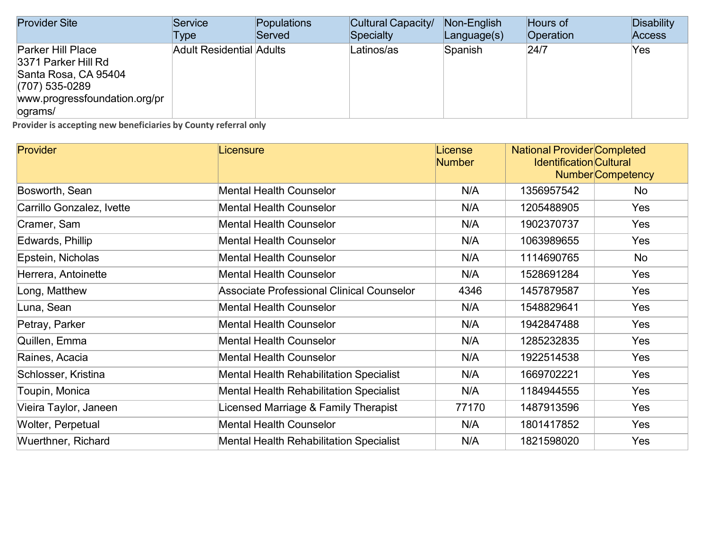| <b>Provider Site</b>                                                                                                                     | Service                         | Populations | Cultural Capacity/ | Non-English       | Hours of  | Disability    |
|------------------------------------------------------------------------------------------------------------------------------------------|---------------------------------|-------------|--------------------|-------------------|-----------|---------------|
|                                                                                                                                          | Type                            | Served      | Specialty          | $L$ anguage $(s)$ | Operation | <b>Access</b> |
| <b>Parker Hill Place</b><br>3371 Parker Hill Rd<br>Santa Rosa, CA 95404<br>$(707)$ 535-0289<br>www.progressfoundation.org/pr<br>lograms/ | <b>Adult Residential Adults</b> |             | Latinos/as         | Spanish           | 24/7      | Yes.          |

| <b>Provider</b>           | Licensure                                        | License<br><b>Number</b> | <b>National Provider Completed</b><br><b>Identification Cultural</b> | <b>Number Competency</b> |
|---------------------------|--------------------------------------------------|--------------------------|----------------------------------------------------------------------|--------------------------|
| Bosworth, Sean            | <b>Mental Health Counselor</b>                   | N/A                      | 1356957542                                                           | No                       |
| Carrillo Gonzalez, Ivette | <b>Mental Health Counselor</b>                   | N/A                      | 1205488905                                                           | <b>Yes</b>               |
| Cramer, Sam               | <b>Mental Health Counselor</b>                   | N/A                      | 1902370737                                                           | <b>Yes</b>               |
| Edwards, Phillip          | <b>Mental Health Counselor</b>                   | N/A                      | 1063989655                                                           | <b>Yes</b>               |
| Epstein, Nicholas         | <b>Mental Health Counselor</b>                   | N/A                      | 1114690765                                                           | No                       |
| Herrera, Antoinette       | <b>Mental Health Counselor</b>                   | N/A                      | 1528691284                                                           | Yes                      |
| Long, Matthew             | <b>Associate Professional Clinical Counselor</b> | 4346                     | 1457879587                                                           | <b>Yes</b>               |
| Luna, Sean                | <b>Mental Health Counselor</b>                   | N/A                      | 1548829641                                                           | Yes                      |
| Petray, Parker            | <b>Mental Health Counselor</b>                   | N/A                      | 1942847488                                                           | <b>Yes</b>               |
| Quillen, Emma             | <b>Mental Health Counselor</b>                   | N/A                      | 1285232835                                                           | <b>Yes</b>               |
| Raines, Acacia            | <b>Mental Health Counselor</b>                   | N/A                      | 1922514538                                                           | Yes                      |
| Schlosser, Kristina       | <b>Mental Health Rehabilitation Specialist</b>   | N/A                      | 1669702221                                                           | <b>Yes</b>               |
| Toupin, Monica            | <b>Mental Health Rehabilitation Specialist</b>   | N/A                      | 1184944555                                                           | <b>Yes</b>               |
| Vieira Taylor, Janeen     | Licensed Marriage & Family Therapist             | 77170                    | 1487913596                                                           | Yes                      |
| Wolter, Perpetual         | <b>Mental Health Counselor</b>                   | N/A                      | 1801417852                                                           | <b>Yes</b>               |
| Wuerthner, Richard        | <b>Mental Health Rehabilitation Specialist</b>   | N/A                      | 1821598020                                                           | Yes                      |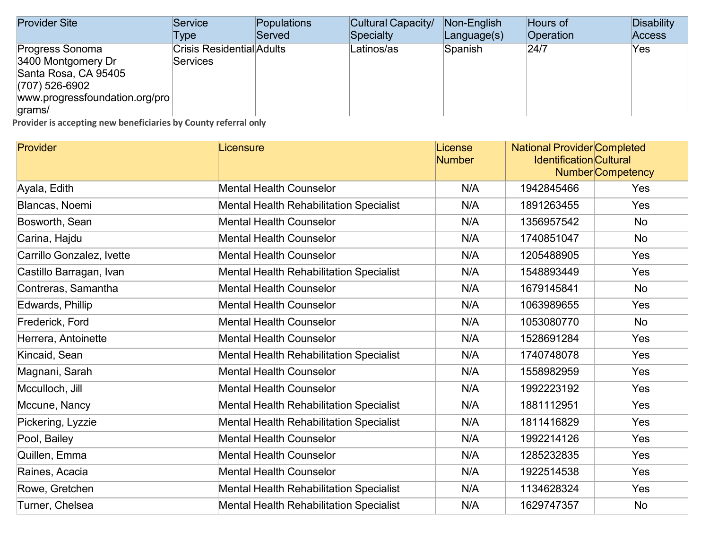| <b>Provider Site</b>                                                                                                          | Service                                             | Populations | Cultural Capacity/ | Non-English       | Hours of  | <b>Disability</b> |
|-------------------------------------------------------------------------------------------------------------------------------|-----------------------------------------------------|-------------|--------------------|-------------------|-----------|-------------------|
|                                                                                                                               | Type                                                | Served      | Specialty          | $L$ anguage $(s)$ | Operation | <b>Access</b>     |
| Progress Sonoma<br>3400 Montgomery Dr<br>Santa Rosa, CA 95405<br>$(707)$ 526-6902<br>www.progressfoundation.org/pro<br>grams/ | <b>Crisis Residential Adults</b><br><b>Services</b> |             | Latinos/as         | Spanish           | 24/7      | Yes               |

| Provider                  | Licensure                                      | License<br><b>Number</b> | <b>National Provider Completed</b><br><b>Identification Cultural</b><br><b>Number</b> Competency |           |
|---------------------------|------------------------------------------------|--------------------------|--------------------------------------------------------------------------------------------------|-----------|
| Ayala, Edith              | <b>Mental Health Counselor</b>                 | N/A                      | 1942845466                                                                                       | Yes       |
| Blancas, Noemi            | <b>Mental Health Rehabilitation Specialist</b> | N/A                      | 1891263455                                                                                       | Yes       |
| Bosworth, Sean            | <b>Mental Health Counselor</b>                 | N/A                      | 1356957542                                                                                       | No        |
| Carina, Hajdu             | <b>Mental Health Counselor</b>                 | N/A                      | 1740851047                                                                                       | <b>No</b> |
| Carrillo Gonzalez, Ivette | <b>Mental Health Counselor</b>                 | N/A                      | 1205488905                                                                                       | Yes       |
| Castillo Barragan, Ivan   | <b>Mental Health Rehabilitation Specialist</b> | N/A                      | 1548893449                                                                                       | Yes       |
| Contreras, Samantha       | <b>Mental Health Counselor</b>                 | N/A                      | 1679145841                                                                                       | <b>No</b> |
| Edwards, Phillip          | <b>Mental Health Counselor</b>                 | N/A                      | 1063989655                                                                                       | Yes       |
| Frederick, Ford           | <b>Mental Health Counselor</b>                 | N/A                      | 1053080770                                                                                       | <b>No</b> |
| Herrera, Antoinette       | <b>Mental Health Counselor</b>                 | N/A                      | 1528691284                                                                                       | Yes       |
| Kincaid, Sean             | <b>Mental Health Rehabilitation Specialist</b> | N/A                      | 1740748078                                                                                       | Yes       |
| Magnani, Sarah            | <b>Mental Health Counselor</b>                 | N/A                      | 1558982959                                                                                       | Yes       |
| Mcculloch, Jill           | <b>Mental Health Counselor</b>                 | N/A                      | 1992223192                                                                                       | Yes       |
| Mccune, Nancy             | <b>Mental Health Rehabilitation Specialist</b> | N/A                      | 1881112951                                                                                       | Yes       |
| Pickering, Lyzzie         | <b>Mental Health Rehabilitation Specialist</b> | N/A                      | 1811416829                                                                                       | Yes       |
| Pool, Bailey              | <b>Mental Health Counselor</b>                 | N/A                      | 1992214126                                                                                       | Yes       |
| Quillen, Emma             | <b>Mental Health Counselor</b>                 | N/A                      | 1285232835                                                                                       | Yes       |
| Raines, Acacia            | <b>Mental Health Counselor</b>                 | N/A                      | 1922514538                                                                                       | Yes       |
| Rowe, Gretchen            | <b>Mental Health Rehabilitation Specialist</b> | N/A                      | 1134628324                                                                                       | Yes       |
| Turner, Chelsea           | <b>Mental Health Rehabilitation Specialist</b> | N/A                      | 1629747357                                                                                       | <b>No</b> |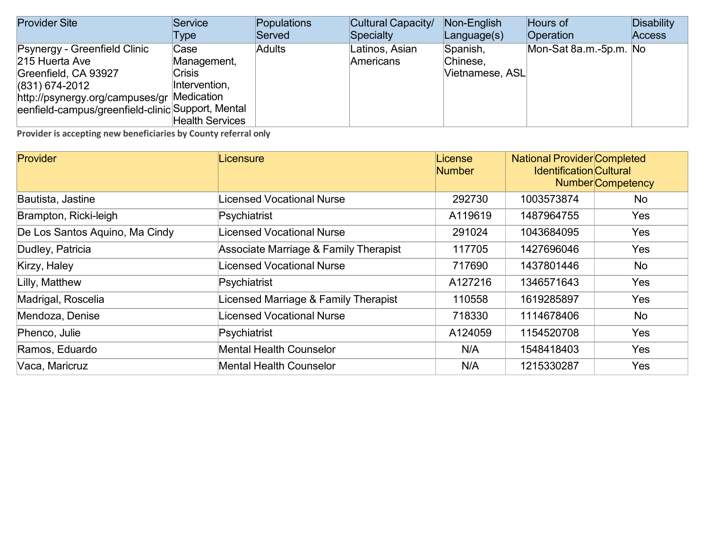| <b>Provider Site</b>                                                                                                                                                                          | Service                                                                         | Populations   | Cultural Capacity/          | Non-English                             | Hours of               | Disability    |
|-----------------------------------------------------------------------------------------------------------------------------------------------------------------------------------------------|---------------------------------------------------------------------------------|---------------|-----------------------------|-----------------------------------------|------------------------|---------------|
|                                                                                                                                                                                               | Type                                                                            | Served        | Specialty                   | $L$ anguage $(s)$                       | Operation              | <b>Access</b> |
| Psynergy - Greenfield Clinic<br>215 Huerta Ave<br>Greenfield, CA 93927<br>$(831)$ 674-2012<br>http://psynergy.org/campuses/gr Medication<br>eenfield-campus/greenfield-clinic Support, Mental | Case<br>Management,<br><b>Crisis</b><br>Intervention,<br><b>Health Services</b> | <b>Adults</b> | Latinos, Asian<br>Americans | Spanish,<br>Chinese,<br>Vietnamese, ASL | Mon-Sat 8a.m.-5p.m. No |               |

| <b>Provider</b>                | Licensure                             | License<br><b>Number</b> | <b>National Provider Completed</b><br><b>Identification Cultural</b> | <b>Number</b> Competency |
|--------------------------------|---------------------------------------|--------------------------|----------------------------------------------------------------------|--------------------------|
| Bautista, Jastine              | <b>Licensed Vocational Nurse</b>      | 292730                   | 1003573874                                                           | No                       |
| Brampton, Ricki-leigh          | Psychiatrist                          | A119619                  | 1487964755                                                           | Yes                      |
| De Los Santos Aquino, Ma Cindy | Licensed Vocational Nurse             | 291024                   | 1043684095                                                           | Yes                      |
| Dudley, Patricia               | Associate Marriage & Family Therapist | 117705                   | 1427696046                                                           | Yes                      |
| Kirzy, Haley                   | Licensed Vocational Nurse             | 717690                   | 1437801446                                                           | <b>No</b>                |
| Lilly, Matthew                 | Psychiatrist                          | A127216                  | 1346571643                                                           | Yes                      |
| Madrigal, Roscelia             | Licensed Marriage & Family Therapist  | 110558                   | 1619285897                                                           | <b>Yes</b>               |
| Mendoza, Denise                | Licensed Vocational Nurse             | 718330                   | 1114678406                                                           | No                       |
| Phenco, Julie                  | Psychiatrist                          | A124059                  | 1154520708                                                           | Yes                      |
| Ramos, Eduardo                 | <b>Mental Health Counselor</b>        | N/A                      | 1548418403                                                           | Yes                      |
| Vaca, Maricruz                 | <b>Mental Health Counselor</b>        | N/A                      | 1215330287                                                           | <b>Yes</b>               |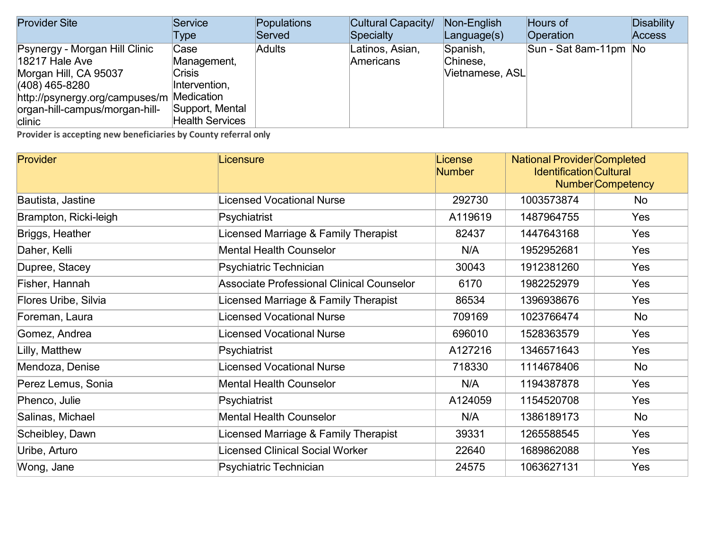| <b>Provider Site</b>                      | Service                | Populations   | Cultural Capacity/ | Non-English       | Hours of              | <b>Disability</b> |
|-------------------------------------------|------------------------|---------------|--------------------|-------------------|-----------------------|-------------------|
|                                           | Type                   | Served        | Specialty          | $L$ anguage $(s)$ | Operation             | <b>Access</b>     |
| Psynergy - Morgan Hill Clinic             | Case                   | <b>Adults</b> | Latinos, Asian,    | Spanish,          | Sun - Sat 8am-11pm No |                   |
| <b>18217 Hale Ave</b>                     | Management,            |               | Americans          | Chinese,          |                       |                   |
| Morgan Hill, CA 95037                     | <b>Crisis</b>          |               |                    | Vietnamese, ASL   |                       |                   |
| (408) 465-8280                            | Intervention,          |               |                    |                   |                       |                   |
| http://psynergy.org/campuses/m Medication |                        |               |                    |                   |                       |                   |
| organ-hill-campus/morgan-hill-            | Support, Mental        |               |                    |                   |                       |                   |
| clinic                                    | <b>Health Services</b> |               |                    |                   |                       |                   |

| <b>Provider</b>       | Licensure                                        | License<br><b>Number</b> | <b>National Provider Completed</b><br><b>Identification</b> Cultural | <b>Number</b> Competency |
|-----------------------|--------------------------------------------------|--------------------------|----------------------------------------------------------------------|--------------------------|
| Bautista, Jastine     | Licensed Vocational Nurse                        | 292730                   | 1003573874                                                           | No.                      |
| Brampton, Ricki-leigh | Psychiatrist                                     | A119619                  | 1487964755                                                           | <b>Yes</b>               |
| Briggs, Heather       | Licensed Marriage & Family Therapist             | 82437                    | 1447643168                                                           | <b>Yes</b>               |
| Daher, Kelli          | <b>Mental Health Counselor</b>                   | N/A                      | 1952952681                                                           | Yes                      |
| Dupree, Stacey        | Psychiatric Technician                           | 30043                    | 1912381260                                                           | Yes                      |
| Fisher, Hannah        | <b>Associate Professional Clinical Counselor</b> | 6170                     | 1982252979                                                           | <b>Yes</b>               |
| Flores Uribe, Silvia  | Licensed Marriage & Family Therapist             | 86534                    | 1396938676                                                           | Yes                      |
| Foreman, Laura        | Licensed Vocational Nurse                        | 709169                   | 1023766474                                                           | No                       |
| Gomez, Andrea         | Licensed Vocational Nurse                        | 696010                   | 1528363579                                                           | <b>Yes</b>               |
| Lilly, Matthew        | Psychiatrist                                     | A127216                  | 1346571643                                                           | <b>Yes</b>               |
| Mendoza, Denise       | <b>Licensed Vocational Nurse</b>                 | 718330                   | 1114678406                                                           | <b>No</b>                |
| Perez Lemus, Sonia    | <b>Mental Health Counselor</b>                   | N/A                      | 1194387878                                                           | Yes                      |
| Phenco, Julie         | Psychiatrist                                     | A124059                  | 1154520708                                                           | Yes                      |
| Salinas, Michael      | <b>Mental Health Counselor</b>                   | N/A                      | 1386189173                                                           | No                       |
| Scheibley, Dawn       | Licensed Marriage & Family Therapist             | 39331                    | 1265588545                                                           | Yes                      |
| Uribe, Arturo         | Licensed Clinical Social Worker                  | 22640                    | 1689862088                                                           | Yes                      |
| Wong, Jane            | Psychiatric Technician                           | 24575                    | 1063627131                                                           | Yes                      |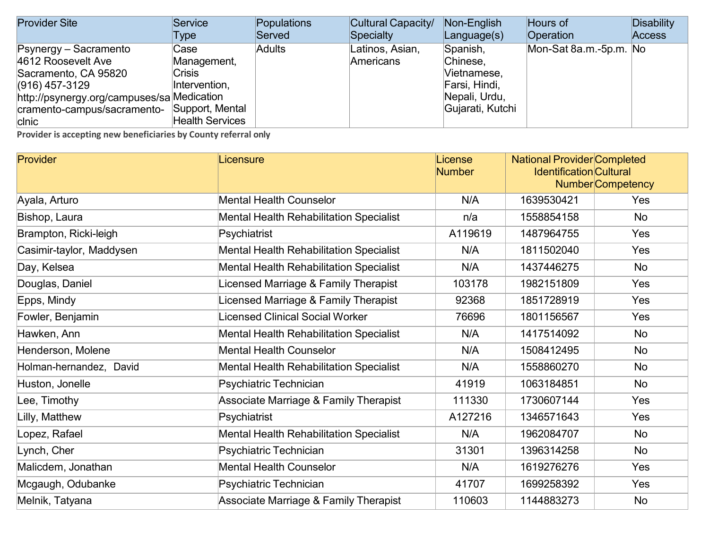| <b>Provider Site</b>                       | Service                | Populations   | Cultural Capacity/ | Non-English       | Hours of               | Disability    |
|--------------------------------------------|------------------------|---------------|--------------------|-------------------|------------------------|---------------|
|                                            | Type                   | Served        | Specialty          | $L$ anguage $(s)$ | Operation              | <b>Access</b> |
| Psynergy – Sacramento                      | Case                   | <b>Adults</b> | Latinos, Asian,    | Spanish,          | Mon-Sat 8a.m.-5p.m. No |               |
| 4612 Roosevelt Ave                         | Management,            |               | Americans          | Chinese,          |                        |               |
| Sacramento, CA 95820                       | <b>Crisis</b>          |               |                    | Vietnamese,       |                        |               |
| $(916)$ 457-3129                           | Intervention,          |               |                    | Farsi, Hindi,     |                        |               |
| http://psynergy.org/campuses/sa Medication |                        |               |                    | Nepali, Urdu,     |                        |               |
| cramento-campus/sacramento-                | Support, Mental        |               |                    | Gujarati, Kutchi  |                        |               |
| clnic                                      | <b>Health Services</b> |               |                    |                   |                        |               |

| Provider                 | Licensure                                        | License<br><b>Number</b> | <b>National Provider Completed</b><br><b>Identification Cultural</b> | <b>Number</b> Competency |
|--------------------------|--------------------------------------------------|--------------------------|----------------------------------------------------------------------|--------------------------|
| Ayala, Arturo            | <b>Mental Health Counselor</b>                   | N/A                      | 1639530421                                                           | <b>Yes</b>               |
| Bishop, Laura            | <b>Mental Health Rehabilitation Specialist</b>   | n/a                      | 1558854158                                                           | No                       |
| Brampton, Ricki-leigh    | Psychiatrist                                     | A119619                  | 1487964755                                                           | Yes                      |
| Casimir-taylor, Maddysen | <b>Mental Health Rehabilitation Specialist</b>   | N/A                      | 1811502040                                                           | Yes                      |
| Day, Kelsea              | <b>Mental Health Rehabilitation Specialist</b>   | N/A                      | 1437446275                                                           | <b>No</b>                |
| Douglas, Daniel          | Licensed Marriage & Family Therapist             | 103178                   | 1982151809                                                           | Yes                      |
| Epps, Mindy              | Licensed Marriage & Family Therapist             | 92368                    | 1851728919                                                           | Yes                      |
| Fowler, Benjamin         | <b>Licensed Clinical Social Worker</b>           | 76696                    | 1801156567                                                           | Yes                      |
| Hawken, Ann              | <b>Mental Health Rehabilitation Specialist</b>   | N/A                      | 1417514092                                                           | <b>No</b>                |
| Henderson, Molene        | <b>Mental Health Counselor</b>                   | N/A                      | 1508412495                                                           | <b>No</b>                |
| Holman-hernandez, David  | <b>Mental Health Rehabilitation Specialist</b>   | N/A                      | 1558860270                                                           | <b>No</b>                |
| Huston, Jonelle          | Psychiatric Technician                           | 41919                    | 1063184851                                                           | <b>No</b>                |
| Lee, Timothy             | <b>Associate Marriage &amp; Family Therapist</b> | 111330                   | 1730607144                                                           | Yes                      |
| Lilly, Matthew           | Psychiatrist                                     | A127216                  | 1346571643                                                           | Yes                      |
| Lopez, Rafael            | <b>Mental Health Rehabilitation Specialist</b>   | N/A                      | 1962084707                                                           | No                       |
| Lynch, Cher              | Psychiatric Technician                           | 31301                    | 1396314258                                                           | <b>No</b>                |
| Malicdem, Jonathan       | <b>Mental Health Counselor</b>                   | N/A                      | 1619276276                                                           | Yes                      |
| Mcgaugh, Odubanke        | Psychiatric Technician                           | 41707                    | 1699258392                                                           | Yes                      |
| Melnik, Tatyana          | Associate Marriage & Family Therapist            | 110603                   | 1144883273                                                           | <b>No</b>                |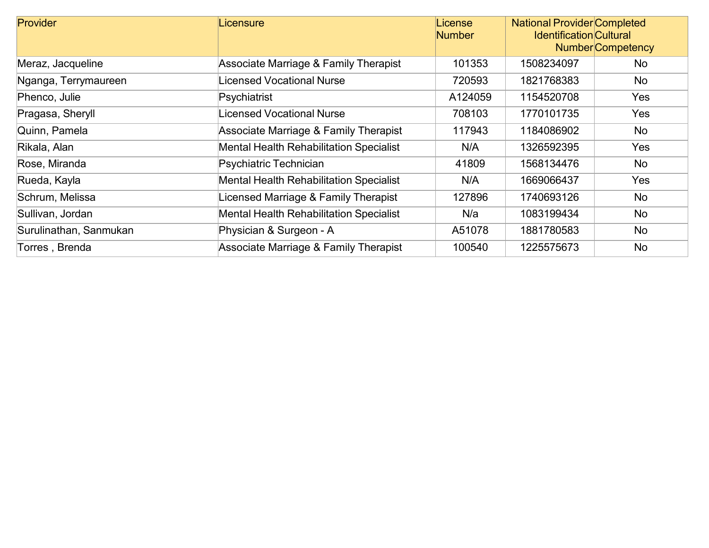| <b>Provider</b>        | Licensure                                      | License<br><b>Number</b> | <b>National Provider Completed</b><br><b>Identification Cultural</b> | <b>Number</b> Competency |  |
|------------------------|------------------------------------------------|--------------------------|----------------------------------------------------------------------|--------------------------|--|
| Meraz, Jacqueline      | Associate Marriage & Family Therapist          | 101353                   |                                                                      |                          |  |
| Nganga, Terrymaureen   | Licensed Vocational Nurse                      | 720593                   | 1821768383                                                           | No                       |  |
| Phenco, Julie          | Psychiatrist                                   | A124059                  | 1154520708                                                           | <b>Yes</b>               |  |
| Pragasa, Sheryll       | Licensed Vocational Nurse                      | 708103                   | 1770101735                                                           | Yes                      |  |
| Quinn, Pamela          | Associate Marriage & Family Therapist          | 117943                   | 1184086902                                                           | No                       |  |
| Rikala, Alan           | <b>Mental Health Rehabilitation Specialist</b> | N/A                      | 1326592395                                                           | <b>Yes</b>               |  |
| Rose, Miranda          | Psychiatric Technician                         | 41809                    | 1568134476                                                           | No                       |  |
| Rueda, Kayla           | <b>Mental Health Rehabilitation Specialist</b> | N/A                      | 1669066437                                                           | Yes                      |  |
| Schrum, Melissa        | Licensed Marriage & Family Therapist           | 127896                   | 1740693126                                                           | No                       |  |
| Sullivan, Jordan       | <b>Mental Health Rehabilitation Specialist</b> | N/a                      | 1083199434                                                           | No                       |  |
| Surulinathan, Sanmukan | Physician & Surgeon - A                        | A51078                   | 1881780583                                                           | No                       |  |
| Torres, Brenda         | Associate Marriage & Family Therapist          | 100540                   | 1225575673                                                           | No                       |  |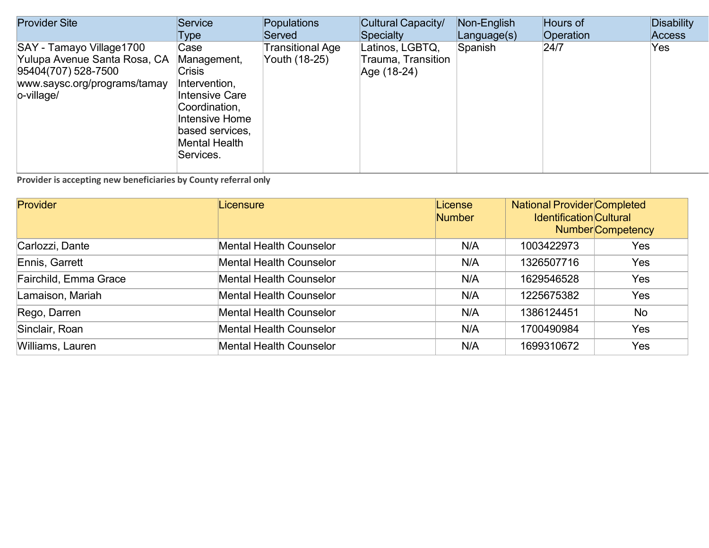| <b>Provider Site</b>                                                                                                          | Service                                                                                                                                                     | Populations                       | Cultural Capacity/                                   | Non-English | Hours of  | <b>Disability</b> |
|-------------------------------------------------------------------------------------------------------------------------------|-------------------------------------------------------------------------------------------------------------------------------------------------------------|-----------------------------------|------------------------------------------------------|-------------|-----------|-------------------|
|                                                                                                                               | Type                                                                                                                                                        | Served                            | Specialty                                            | Language(s) | Operation | <b>Access</b>     |
| SAY - Tamayo Village1700<br>Yulupa Avenue Santa Rosa, CA<br>95404(707) 528-7500<br>www.saysc.org/programs/tamay<br>o-village/ | Case<br>Management,<br><b>Crisis</b><br>Intervention,<br>Intensive Care<br>Coordination,<br>Intensive Home<br>based services,<br>Mental Health<br>Services. | Transitional Age<br>Youth (18-25) | Latinos, LGBTQ,<br>Trauma, Transition<br>Age (18-24) | Spanish     | 24/7      | Yes               |

| Provider              | Licensure                      | License<br><b>Number</b> | <b>National Provider Completed</b><br><b>Identification Cultural</b><br><b>Number</b> Competency |     |
|-----------------------|--------------------------------|--------------------------|--------------------------------------------------------------------------------------------------|-----|
| Carlozzi, Dante       | Mental Health Counselor        | N/A                      | 1003422973                                                                                       | Yes |
| Ennis, Garrett        | <b>Mental Health Counselor</b> | N/A                      | 1326507716                                                                                       | Yes |
| Fairchild, Emma Grace | <b>Mental Health Counselor</b> | N/A                      | 1629546528                                                                                       | Yes |
| Lamaison, Mariah      | Mental Health Counselor        | N/A                      | 1225675382                                                                                       | Yes |
| Rego, Darren          | <b>Mental Health Counselor</b> | N/A                      | 1386124451                                                                                       | No  |
| Sinclair, Roan        | <b>Mental Health Counselor</b> | N/A                      | 1700490984                                                                                       | Yes |
| Williams, Lauren      | <b>Mental Health Counselor</b> | N/A                      | 1699310672                                                                                       | Yes |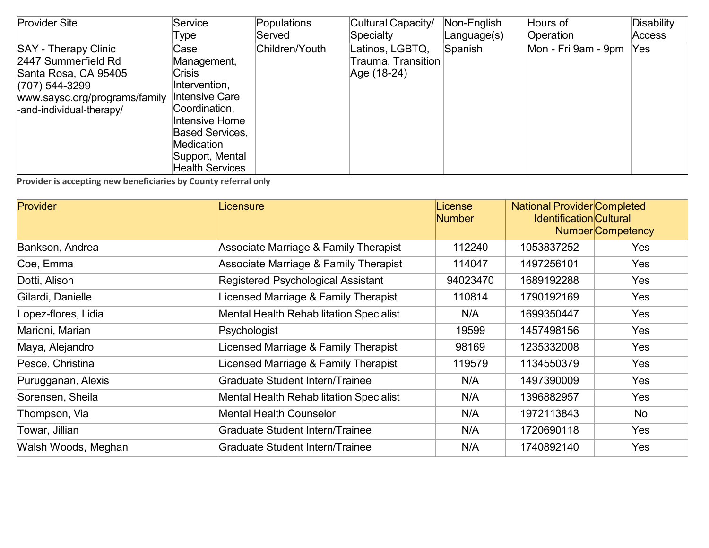| <b>Provider Site</b>                                                                                                                                      | Service                                                                                                                                                                                                | <b>Populations</b> | Cultural Capacity/                                   | Non-English | Hours of            | Disability    |
|-----------------------------------------------------------------------------------------------------------------------------------------------------------|--------------------------------------------------------------------------------------------------------------------------------------------------------------------------------------------------------|--------------------|------------------------------------------------------|-------------|---------------------|---------------|
|                                                                                                                                                           | Type                                                                                                                                                                                                   | Served             | Specialty                                            | Language(s) | Operation           | <b>Access</b> |
| <b>SAY - Therapy Clinic</b><br>2447 Summerfield Rd<br>Santa Rosa, CA 95405<br>(707) 544-3299<br>www.saysc.org/programs/family<br>-and-individual-therapy/ | Case<br>Management,<br><b>Crisis</b><br>Intervention,<br><b>Intensive Care</b><br>Coordination,<br>Intensive Home<br><b>Based Services,</b><br>Medication<br>Support, Mental<br><b>Health Services</b> | Children/Youth     | Latinos, LGBTQ,<br>Trauma, Transition<br>Age (18-24) | Spanish     | Mon - Fri 9am - 9pm | Yes           |

| <b>Provider</b>     | Licensure                                      | License<br><b>Number</b> | <b>National Provider Completed</b><br><b>Identification Cultural</b> | <b>Number</b> Competency |
|---------------------|------------------------------------------------|--------------------------|----------------------------------------------------------------------|--------------------------|
| Bankson, Andrea     | Associate Marriage & Family Therapist          | 112240                   | 1053837252                                                           | <b>Yes</b>               |
| Coe, Emma           | Associate Marriage & Family Therapist          | 114047                   | 1497256101                                                           | Yes                      |
| Dotti, Alison       | Registered Psychological Assistant             | 94023470                 | 1689192288                                                           | Yes                      |
| Gilardi, Danielle   | Licensed Marriage & Family Therapist           | 110814                   | 1790192169                                                           | <b>Yes</b>               |
| Lopez-flores, Lidia | <b>Mental Health Rehabilitation Specialist</b> | N/A                      | 1699350447                                                           | <b>Yes</b>               |
| Marioni, Marian     | Psychologist                                   | 19599                    | 1457498156                                                           | <b>Yes</b>               |
| Maya, Alejandro     | Licensed Marriage & Family Therapist           | 98169                    | 1235332008                                                           | Yes                      |
| Pesce, Christina    | Licensed Marriage & Family Therapist           | 119579                   | 1134550379                                                           | Yes                      |
| Purugganan, Alexis  | <b>Graduate Student Intern/Trainee</b>         | N/A                      | 1497390009                                                           | Yes                      |
| Sorensen, Sheila    | <b>Mental Health Rehabilitation Specialist</b> | N/A                      | 1396882957                                                           | Yes                      |
| Thompson, Via       | <b>Mental Health Counselor</b>                 | N/A                      | 1972113843                                                           | No                       |
| Towar, Jillian      | Graduate Student Intern/Trainee                | N/A                      | 1720690118                                                           | Yes                      |
| Walsh Woods, Meghan | Graduate Student Intern/Trainee                | N/A                      | 1740892140                                                           | Yes                      |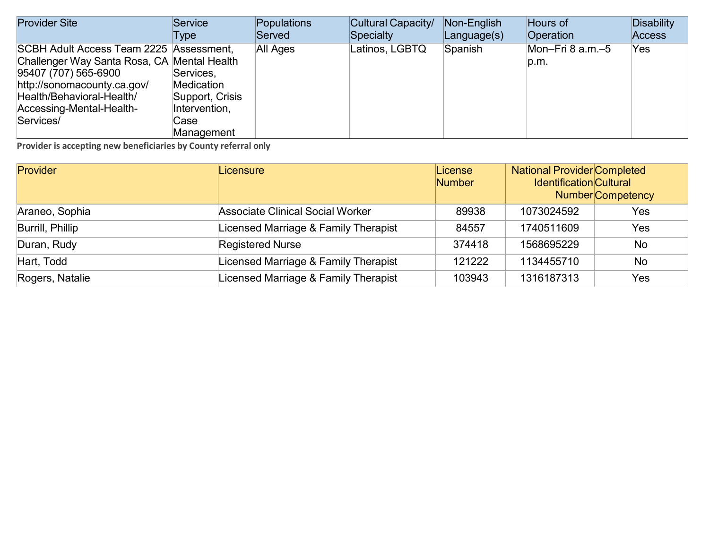| <b>Provider Site</b>                        | Service         | Populations | Cultural Capacity/ | Non-English | Hours of           | Disability |
|---------------------------------------------|-----------------|-------------|--------------------|-------------|--------------------|------------|
|                                             | Type            | Served      | Specialty          | Language(s) | Operation          | Access     |
| SCBH Adult Access Team 2225 Assessment,     |                 | All Ages    | Latinos, LGBTQ     | Spanish     | Mon-Fri 8 $a.m.-5$ | Yes        |
| Challenger Way Santa Rosa, CA Mental Health |                 |             |                    |             | p.m.               |            |
| 95407 (707) 565-6900                        | Services,       |             |                    |             |                    |            |
| http://sonomacounty.ca.gov/                 | Medication      |             |                    |             |                    |            |
| Health/Behavioral-Health/                   | Support, Crisis |             |                    |             |                    |            |
| Accessing-Mental-Health-                    | Intervention,   |             |                    |             |                    |            |
| Services/                                   | Case            |             |                    |             |                    |            |
|                                             | Management      |             |                    |             |                    |            |

| Provider         | Licensure                               | License<br><b>Number</b> | <b>National Provider Completed</b><br><b>Identification</b> Cultural | <b>Number</b> Competency |
|------------------|-----------------------------------------|--------------------------|----------------------------------------------------------------------|--------------------------|
| Araneo, Sophia   | <b>Associate Clinical Social Worker</b> | 89938                    | 1073024592                                                           | Yes                      |
| Burrill, Phillip | Licensed Marriage & Family Therapist    | 84557                    | 1740511609                                                           | Yes                      |
| Duran, Rudy      | <b>Registered Nurse</b>                 | 374418                   | 1568695229                                                           | <b>No</b>                |
| Hart, Todd       | Licensed Marriage & Family Therapist    | 121222                   | 1134455710                                                           | <b>No</b>                |
| Rogers, Natalie  | Licensed Marriage & Family Therapist    | 103943                   | 1316187313                                                           | Yes                      |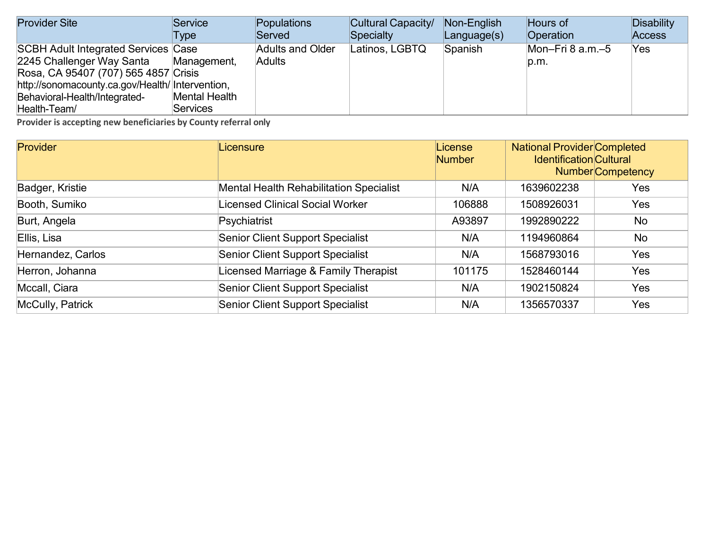| <b>Provider Site</b>                                                                     | Service         | Populations             | Cultural Capacity/ | Non-English       | Hours of              | Disability    |
|------------------------------------------------------------------------------------------|-----------------|-------------------------|--------------------|-------------------|-----------------------|---------------|
|                                                                                          | Type            | Served                  | Specialty          | $L$ anguage $(s)$ | <b>Operation</b>      | <b>Access</b> |
| <b>SCBH Adult Integrated Services Case</b>                                               |                 | <b>Adults and Older</b> | Latinos, LGBTQ     | Spanish           | Mon-Fri $8$ a.m. $-5$ | Yes           |
| 2245 Challenger Way Santa                                                                | Management,     | <b>Adults</b>           |                    |                   | D.m.                  |               |
| Rosa, CA 95407 (707) 565 4857 Crisis<br>http://sonomacounty.ca.gov/Health/ Intervention, |                 |                         |                    |                   |                       |               |
| Behavioral-Health/Integrated-                                                            | Mental Health   |                         |                    |                   |                       |               |
| Health-Team/                                                                             | <b>Services</b> |                         |                    |                   |                       |               |

| Provider          | Licensure                                      | License<br><b>Number</b> | <b>National Provider Completed</b><br><b>Identification Cultural</b> | <b>Number</b> Competency |
|-------------------|------------------------------------------------|--------------------------|----------------------------------------------------------------------|--------------------------|
| Badger, Kristie   | <b>Mental Health Rehabilitation Specialist</b> | N/A                      | 1639602238                                                           | Yes                      |
| Booth, Sumiko     | Licensed Clinical Social Worker                | 106888                   | 1508926031                                                           | <b>Yes</b>               |
| Burt, Angela      | Psychiatrist                                   | A93897                   | 1992890222                                                           | <b>No</b>                |
| Ellis, Lisa       | <b>Senior Client Support Specialist</b>        | N/A                      | 1194960864                                                           | No                       |
| Hernandez, Carlos | <b>Senior Client Support Specialist</b>        | N/A                      | 1568793016                                                           | <b>Yes</b>               |
| Herron, Johanna   | Licensed Marriage & Family Therapist           | 101175                   | 1528460144                                                           | Yes                      |
| Mccall, Ciara     | <b>Senior Client Support Specialist</b>        | N/A                      | 1902150824                                                           | Yes                      |
| McCully, Patrick  | <b>Senior Client Support Specialist</b>        | N/A                      | 1356570337                                                           | Yes                      |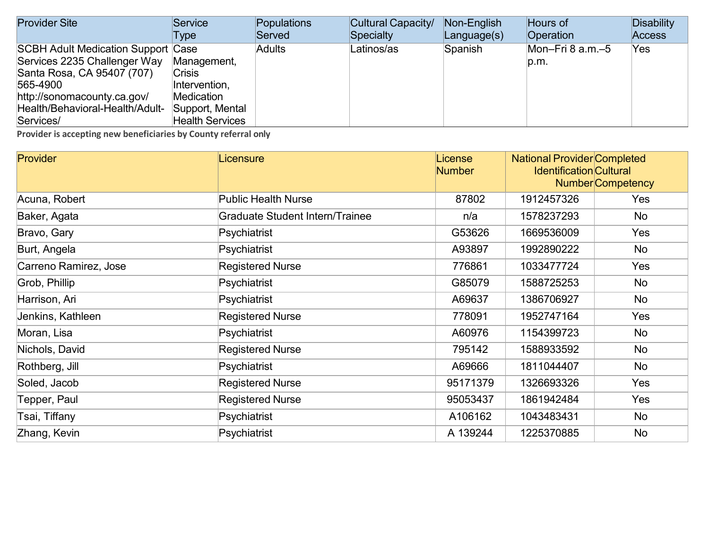| <b>Provider Site</b>                      | Service                | Populations   | Cultural Capacity/ | Non-English | Hours of              | Disability    |
|-------------------------------------------|------------------------|---------------|--------------------|-------------|-----------------------|---------------|
|                                           | Type                   | Served        | Specialty          | Language(s) | Operation             | <b>Access</b> |
| <b>SCBH Adult Medication Support Case</b> |                        | <b>Adults</b> | Latinos/as         | Spanish     | Mon-Fri $8$ a.m. $-5$ | Yes           |
| Services 2235 Challenger Way              | Management,            |               |                    |             | p.m.                  |               |
| Santa Rosa, CA 95407 (707)                | <b>Crisis</b>          |               |                    |             |                       |               |
| 565-4900                                  | Intervention,          |               |                    |             |                       |               |
| http://sonomacounty.ca.gov/               | Medication             |               |                    |             |                       |               |
| Health/Behavioral-Health/Adult-           | Support, Mental        |               |                    |             |                       |               |
| Services/                                 | <b>Health Services</b> |               |                    |             |                       |               |

| <b>Provider</b>       | Licensure                              | License<br><b>Number</b> | <b>National Provider Completed</b><br><b>Identification Cultural</b> | <b>Number</b> Competency |
|-----------------------|----------------------------------------|--------------------------|----------------------------------------------------------------------|--------------------------|
| Acuna, Robert         | <b>Public Health Nurse</b>             | 87802                    | 1912457326                                                           | Yes                      |
| Baker, Agata          | <b>Graduate Student Intern/Trainee</b> | n/a                      | 1578237293                                                           | No                       |
| Bravo, Gary           | Psychiatrist                           | G53626                   | 1669536009                                                           | Yes                      |
| Burt, Angela          | Psychiatrist                           | A93897                   | 1992890222                                                           | No                       |
| Carreno Ramirez, Jose | <b>Registered Nurse</b>                | 776861                   | 1033477724                                                           | Yes                      |
| Grob, Phillip         | Psychiatrist                           | G85079                   | 1588725253                                                           | No                       |
| Harrison, Ari         | Psychiatrist                           | A69637                   | 1386706927                                                           | No                       |
| Jenkins, Kathleen     | <b>Registered Nurse</b>                | 778091                   | 1952747164                                                           | Yes                      |
| Moran, Lisa           | Psychiatrist                           | A60976                   | 1154399723                                                           | No                       |
| Nichols, David        | <b>Registered Nurse</b>                | 795142                   | 1588933592                                                           | No                       |
| Rothberg, Jill        | Psychiatrist                           | A69666                   | 1811044407                                                           | No                       |
| Soled, Jacob          | <b>Registered Nurse</b>                | 95171379                 | 1326693326                                                           | Yes                      |
| Tepper, Paul          | <b>Registered Nurse</b>                | 95053437                 | 1861942484                                                           | Yes                      |
| Tsai, Tiffany         | Psychiatrist                           | A106162                  | 1043483431                                                           | No                       |
| Zhang, Kevin          | Psychiatrist                           | A 139244                 | 1225370885                                                           | No                       |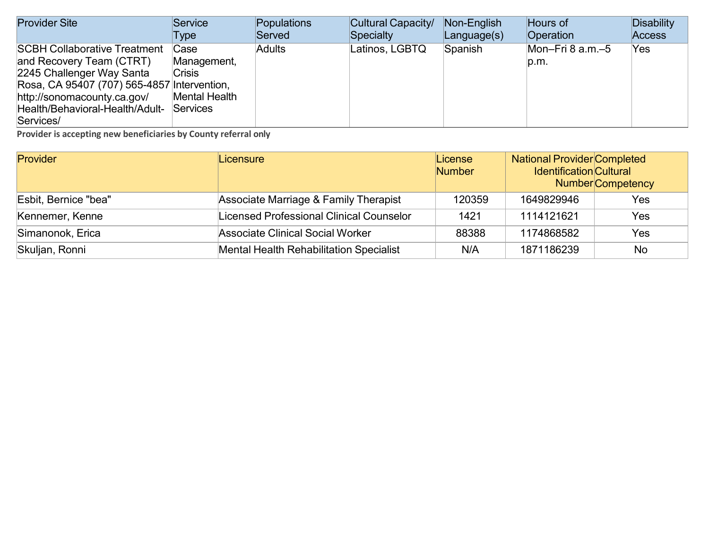| <b>Provider Site</b>                                                                                                                                                                                          | Service                                                           | Populations   | Cultural Capacity/ | Non-English       | Hours of                   | <b>Disability</b> |
|---------------------------------------------------------------------------------------------------------------------------------------------------------------------------------------------------------------|-------------------------------------------------------------------|---------------|--------------------|-------------------|----------------------------|-------------------|
|                                                                                                                                                                                                               | Type                                                              | Served        | Specialty          | $L$ anguage $(s)$ | Operation                  | <b>Access</b>     |
| <b>SCBH Collaborative Treatment</b><br>and Recovery Team (CTRT)<br>2245 Challenger Way Santa<br>Rosa, CA 95407 (707) 565-4857 Intervention,<br>http://sonomacounty.ca.gov/<br>Health/Behavioral-Health/Adult- | Case<br>Management,<br><b>Crisis</b><br>Mental Health<br>Services | <b>Adults</b> | Latinos, LGBTQ     | Spanish           | Mon-Fri 8 $a.m.-5$<br>p.m. | Yes               |
| Services/                                                                                                                                                                                                     |                                                                   |               |                    |                   |                            |                   |

| Provider             | Licensure                                       | License<br>Number | <b>National Provider Completed</b><br><b>Identification</b> Cultural | <b>Number</b> Competency |
|----------------------|-------------------------------------------------|-------------------|----------------------------------------------------------------------|--------------------------|
| Esbit, Bernice "bea" | Associate Marriage & Family Therapist           | 120359            | 1649829946                                                           | Yes                      |
| Kennemer, Kenne      | <b>Licensed Professional Clinical Counselor</b> | 1421              | 1114121621                                                           | Yes                      |
| Simanonok, Erica     | <b>Associate Clinical Social Worker</b>         | 88388             | 1174868582                                                           | Yes                      |
| Skuljan, Ronni       | <b>Mental Health Rehabilitation Specialist</b>  | N/A               | 1871186239                                                           | No                       |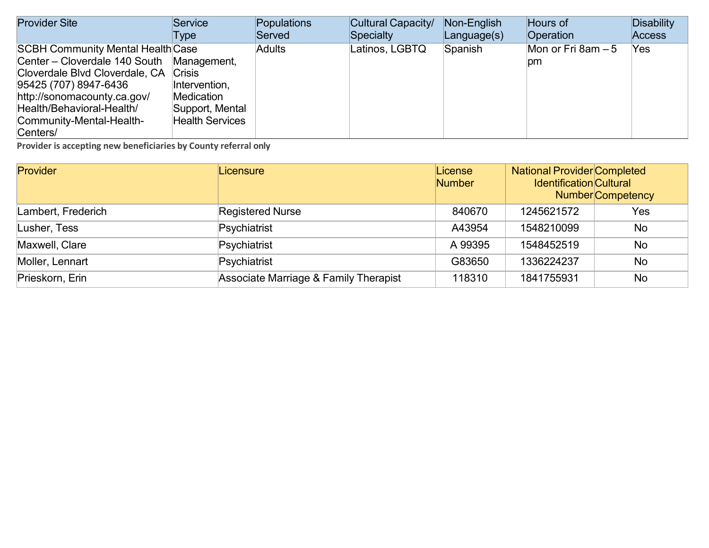| <b>Provider Site</b>                      | Service                | Populations   | Cultural Capacity/ | Non-English       | Hours of            | Disability    |
|-------------------------------------------|------------------------|---------------|--------------------|-------------------|---------------------|---------------|
|                                           | Type                   | Served        | Specialty          | $L$ anguage $(s)$ | Operation           | <b>Access</b> |
| <b>SCBH Community Mental Health Case</b>  |                        | <b>Adults</b> | Latinos, LGBTQ     | Spanish           | Mon or Fri 8am $-5$ | Yes           |
| Center – Cloverdale 140 South Management, |                        |               |                    |                   | pm                  |               |
| Cloverdale Blvd Cloverdale, CA Crisis     |                        |               |                    |                   |                     |               |
| 95425 (707) 8947-6436                     | Intervention,          |               |                    |                   |                     |               |
| http://sonomacounty.ca.gov/               | Medication             |               |                    |                   |                     |               |
| Health/Behavioral-Health/                 | Support, Mental        |               |                    |                   |                     |               |
| Community-Mental-Health-                  | <b>Health Services</b> |               |                    |                   |                     |               |
| Centers/                                  |                        |               |                    |                   |                     |               |

| Provider           | Licensure                             | License<br><b>Number</b> | <b>National Provider Completed</b><br><b>Identification Cultural</b> | <b>Number</b> Competency |
|--------------------|---------------------------------------|--------------------------|----------------------------------------------------------------------|--------------------------|
| Lambert, Frederich | <b>Registered Nurse</b>               | 840670                   | 1245621572                                                           | Yes                      |
| Lusher, Tess       | Psychiatrist                          | A43954                   | 1548210099                                                           | <b>No</b>                |
| Maxwell, Clare     | Psychiatrist                          | A 99395                  | 1548452519                                                           | <b>No</b>                |
| Moller, Lennart    | Psychiatrist                          | G83650                   | 1336224237                                                           | <b>No</b>                |
| Prieskorn, Erin    | Associate Marriage & Family Therapist | 118310                   | 1841755931                                                           | <b>No</b>                |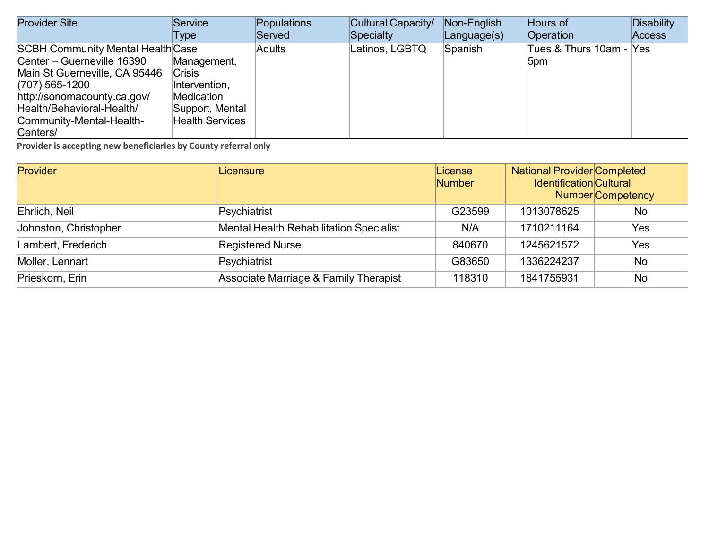| <b>Provider Site</b>                     | Service                | Populations   | Cultural Capacity/ | Non-English | Hours of                | Disability |
|------------------------------------------|------------------------|---------------|--------------------|-------------|-------------------------|------------|
|                                          | Type                   | Served        | Specialty          | Language(s) | Operation               | Access     |
| <b>SCBH Community Mental Health Case</b> |                        | <b>Adults</b> | Latinos, LGBTQ     | Spanish     | Tues & Thurs 10am - Yes |            |
| Center - Guerneville 16390               | Management,            |               |                    |             | 5 <sub>pm</sub>         |            |
| Main St Guerneville, CA 95446            | <b>Crisis</b>          |               |                    |             |                         |            |
| $(707)$ 565-1200                         | Intervention,          |               |                    |             |                         |            |
| http://sonomacounty.ca.gov/              | Medication             |               |                    |             |                         |            |
| Health/Behavioral-Health/                | Support, Mental        |               |                    |             |                         |            |
| Community-Mental-Health-                 | <b>Health Services</b> |               |                    |             |                         |            |
| Centers/                                 |                        |               |                    |             |                         |            |

| Provider              | Licensure                                      | License<br><b>Number</b> | <b>National Provider Completed</b><br><b>Identification</b> Cultural | <b>Number</b> Competency |
|-----------------------|------------------------------------------------|--------------------------|----------------------------------------------------------------------|--------------------------|
| Ehrlich, Neil         | Psychiatrist                                   | G23599                   | 1013078625                                                           | <b>No</b>                |
| Johnston, Christopher | <b>Mental Health Rehabilitation Specialist</b> | N/A                      | 1710211164                                                           | Yes                      |
| Lambert, Frederich    | <b>Registered Nurse</b>                        | 840670                   | 1245621572                                                           | Yes                      |
| Moller, Lennart       | Psychiatrist                                   | G83650                   | 1336224237                                                           | <b>No</b>                |
| Prieskorn, Erin       | Associate Marriage & Family Therapist          | 118310                   | 1841755931                                                           | No                       |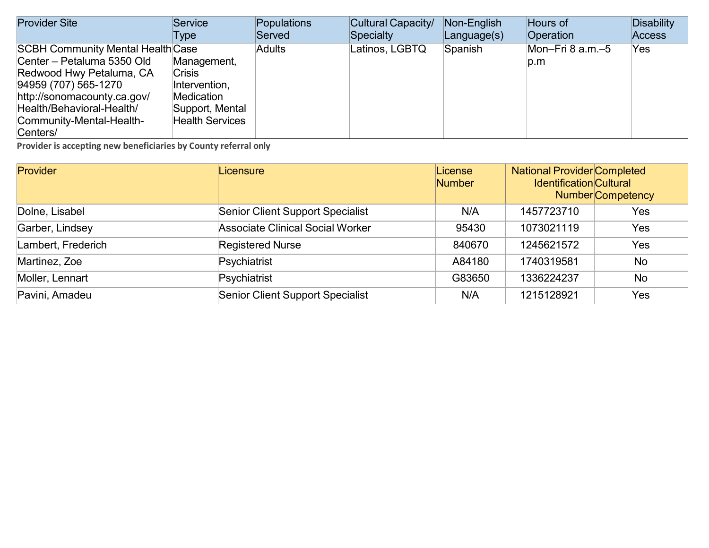| <b>Provider Site</b>                     | Service                | Populations   | Cultural Capacity/ | Non-English | Hours of           | Disability |
|------------------------------------------|------------------------|---------------|--------------------|-------------|--------------------|------------|
|                                          | Type                   | Served        | Specialty          | Language(s) | Operation          | Access     |
| <b>SCBH Community Mental Health Case</b> |                        | <b>Adults</b> | Latinos, LGBTQ     | Spanish     | Mon-Fri 8 $a.m.-5$ | Yes        |
| Center - Petaluma 5350 Old               | Management,            |               |                    |             | p.m                |            |
| Redwood Hwy Petaluma, CA                 | <b>Crisis</b>          |               |                    |             |                    |            |
| 94959 (707) 565-1270                     | Intervention,          |               |                    |             |                    |            |
| http://sonomacounty.ca.gov/              | Medication             |               |                    |             |                    |            |
| Health/Behavioral-Health/                | Support, Mental        |               |                    |             |                    |            |
| Community-Mental-Health-                 | <b>Health Services</b> |               |                    |             |                    |            |
| Centers/                                 |                        |               |                    |             |                    |            |

| Provider           | Licensure                               | License<br><b>Number</b> | <b>National Provider Completed</b><br><b>Identification Cultural</b> | <b>Number</b> Competency |
|--------------------|-----------------------------------------|--------------------------|----------------------------------------------------------------------|--------------------------|
| Dolne, Lisabel     | <b>Senior Client Support Specialist</b> | N/A                      | 1457723710                                                           | Yes                      |
| Garber, Lindsey    | <b>Associate Clinical Social Worker</b> | 95430                    | 1073021119                                                           | Yes                      |
| Lambert, Frederich | <b>Registered Nurse</b>                 | 840670                   | 1245621572                                                           | Yes                      |
| Martinez, Zoe      | Psychiatrist                            | A84180                   | 1740319581                                                           | No                       |
| Moller, Lennart    | Psychiatrist                            | G83650                   | 1336224237                                                           | <b>No</b>                |
| Pavini, Amadeu     | <b>Senior Client Support Specialist</b> | N/A                      | 1215128921                                                           | Yes                      |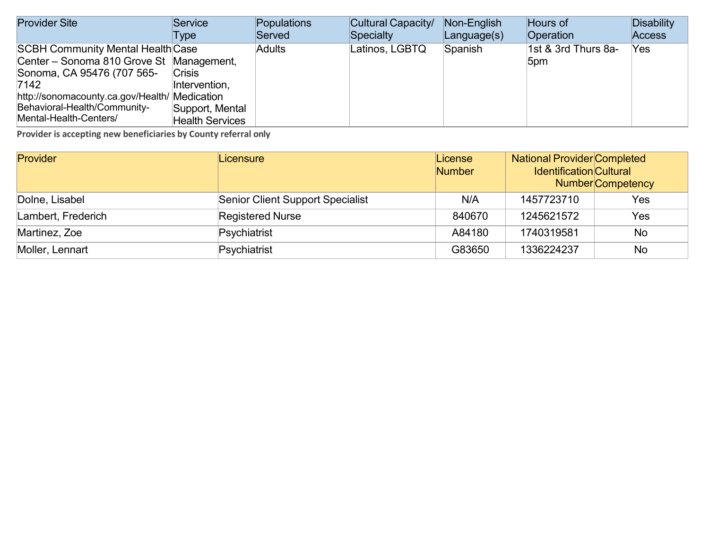| <b>Provider Site</b>                          | Service                | Populations   | Cultural Capacity/ | Non-English       | Hours of            | Disability    |
|-----------------------------------------------|------------------------|---------------|--------------------|-------------------|---------------------|---------------|
|                                               | Type                   | Served        | Specialty          | $L$ anguage $(s)$ | Operation           | <b>Access</b> |
| <b>SCBH Community Mental Health Case</b>      |                        | <b>Adults</b> | Latinos, LGBTQ     | Spanish           | 1st & 3rd Thurs 8a- | Yes           |
| Center - Sonoma 810 Grove St Management,      |                        |               |                    |                   | 5pm                 |               |
| Sonoma, CA 95476 (707 565-                    | <b>Crisis</b>          |               |                    |                   |                     |               |
| 7142                                          | Intervention,          |               |                    |                   |                     |               |
| http://sonomacounty.ca.gov/Health/ Medication |                        |               |                    |                   |                     |               |
| Behavioral-Health/Community-                  | Support, Mental        |               |                    |                   |                     |               |
| Mental-Health-Centers/                        | <b>Health Services</b> |               |                    |                   |                     |               |

| Provider           | Licensure                               | License<br><b>Number</b> | <b>National Provider Completed</b><br><b>Identification</b> Cultural | <b>Number</b> Competency |
|--------------------|-----------------------------------------|--------------------------|----------------------------------------------------------------------|--------------------------|
| Dolne, Lisabel     | <b>Senior Client Support Specialist</b> | N/A                      | 1457723710                                                           | Yes                      |
| Lambert, Frederich | <b>Registered Nurse</b>                 | 840670                   | 1245621572                                                           | Yes                      |
| Martinez, Zoe      | Psychiatrist                            | A84180                   | 1740319581                                                           | No                       |
| Moller, Lennart    | Psychiatrist                            | G83650                   | 1336224237                                                           | <b>No</b>                |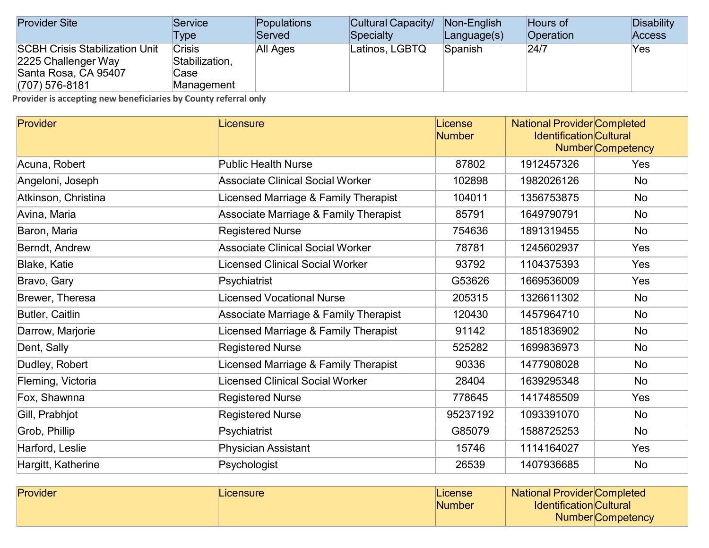| <b>Provider Site</b>                                                                                     | Service                                               | <b>Populations</b> | Cultural Capacity/ | Non-English | Hours of  | Disability    |
|----------------------------------------------------------------------------------------------------------|-------------------------------------------------------|--------------------|--------------------|-------------|-----------|---------------|
|                                                                                                          | Type                                                  | Served             | Specialty          | Language(s) | Operation | <b>Access</b> |
| <b>SCBH Crisis Stabilization Unit</b><br>2225 Challenger Way<br>Santa Rosa, CA 95407<br>$(707)$ 576-8181 | <b>Crisis</b><br>Stabilization,<br>Case<br>Management | All Ages           | Latinos, LGBTQ     | Spanish     | 24/7      | Yes           |

| Provider            | Licensure                                        | License<br><b>Number</b> |            | <b>National Provider Completed</b><br><b>Identification Cultural</b><br><b>Number</b> Competency |  |
|---------------------|--------------------------------------------------|--------------------------|------------|--------------------------------------------------------------------------------------------------|--|
| Acuna, Robert       | <b>Public Health Nurse</b>                       | 87802                    | 1912457326 | Yes                                                                                              |  |
| Angeloni, Joseph    | <b>Associate Clinical Social Worker</b>          | 102898                   | 1982026126 | <b>No</b>                                                                                        |  |
| Atkinson, Christina | Licensed Marriage & Family Therapist             | 104011                   | 1356753875 | <b>No</b>                                                                                        |  |
| Avina, Maria        | <b>Associate Marriage &amp; Family Therapist</b> | 85791                    | 1649790791 | <b>No</b>                                                                                        |  |
| Baron, Maria        | <b>Registered Nurse</b>                          | 754636                   | 1891319455 | <b>No</b>                                                                                        |  |
| Berndt, Andrew      | <b>Associate Clinical Social Worker</b>          | 78781                    | 1245602937 | Yes                                                                                              |  |
| <b>Blake, Katie</b> | Licensed Clinical Social Worker                  | 93792                    | 1104375393 | Yes                                                                                              |  |
| Bravo, Gary         | Psychiatrist                                     | G53626                   | 1669536009 | Yes                                                                                              |  |
| Brewer, Theresa     | <b>Licensed Vocational Nurse</b>                 | 205315                   | 1326611302 | <b>No</b>                                                                                        |  |
| Butler, Caitlin     | <b>Associate Marriage &amp; Family Therapist</b> | 120430                   | 1457964710 | <b>No</b>                                                                                        |  |
| Darrow, Marjorie    | Licensed Marriage & Family Therapist             | 91142                    | 1851836902 | <b>No</b>                                                                                        |  |
| Dent, Sally         | <b>Registered Nurse</b>                          | 525282                   | 1699836973 | <b>No</b>                                                                                        |  |
| Dudley, Robert      | Licensed Marriage & Family Therapist             | 90336                    | 1477908028 | <b>No</b>                                                                                        |  |
| Fleming, Victoria   | Licensed Clinical Social Worker                  | 28404                    | 1639295348 | No                                                                                               |  |
| Fox, Shawnna        | <b>Registered Nurse</b>                          | 778645                   | 1417485509 | Yes                                                                                              |  |
| Gill, Prabhjot      | <b>Registered Nurse</b>                          | 95237192                 | 1093391070 | <b>No</b>                                                                                        |  |
| Grob, Phillip       | Psychiatrist                                     | G85079                   | 1588725253 | <b>No</b>                                                                                        |  |
| Harford, Leslie     | Physician Assistant                              | 15746                    | 1114164027 | Yes                                                                                              |  |
| Hargitt, Katherine  | Psychologist                                     | 26539                    | 1407936685 | <b>No</b>                                                                                        |  |

| Provider | <b>Licensure</b> | License | <b>National Provider Completed</b> |                          |
|----------|------------------|---------|------------------------------------|--------------------------|
|          |                  | Number  | <b>Identification Cultural</b>     |                          |
|          |                  |         |                                    | <b>Number</b> Competency |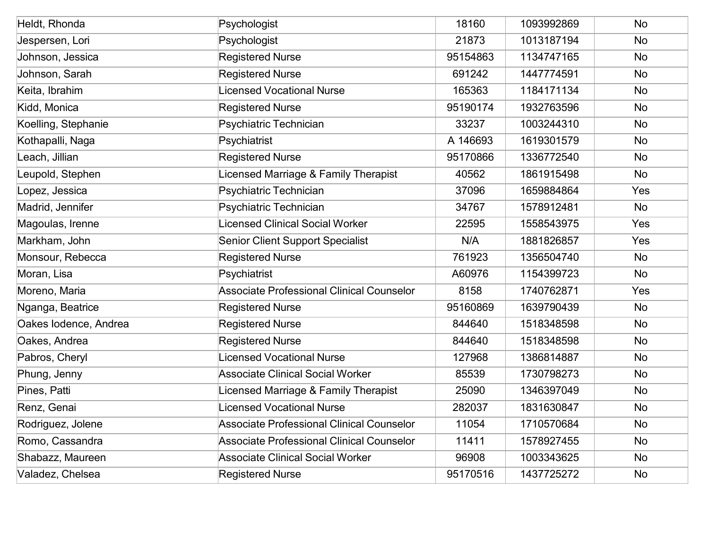| Heldt, Rhonda         | Psychologist                                     | 18160    | 1093992869 | <b>No</b> |
|-----------------------|--------------------------------------------------|----------|------------|-----------|
| Jespersen, Lori       | Psychologist                                     | 21873    | 1013187194 | <b>No</b> |
| Johnson, Jessica      | <b>Registered Nurse</b>                          | 95154863 | 1134747165 | <b>No</b> |
| Johnson, Sarah        | <b>Registered Nurse</b>                          | 691242   | 1447774591 | No        |
| Keita, Ibrahim        | <b>Licensed Vocational Nurse</b>                 | 165363   | 1184171134 | <b>No</b> |
| Kidd, Monica          | <b>Registered Nurse</b>                          | 95190174 | 1932763596 | <b>No</b> |
| Koelling, Stephanie   | Psychiatric Technician                           | 33237    | 1003244310 | <b>No</b> |
| Kothapalli, Naga      | Psychiatrist                                     | A 146693 | 1619301579 | <b>No</b> |
| Leach, Jillian        | <b>Registered Nurse</b>                          | 95170866 | 1336772540 | <b>No</b> |
| Leupold, Stephen      | Licensed Marriage & Family Therapist             | 40562    | 1861915498 | No        |
| Lopez, Jessica        | Psychiatric Technician                           | 37096    | 1659884864 | Yes       |
| Madrid, Jennifer      | Psychiatric Technician                           | 34767    | 1578912481 | <b>No</b> |
| Magoulas, Irenne      | <b>Licensed Clinical Social Worker</b>           | 22595    | 1558543975 | Yes       |
| Markham, John         | <b>Senior Client Support Specialist</b>          | N/A      | 1881826857 | Yes       |
| Monsour, Rebecca      | <b>Registered Nurse</b>                          | 761923   | 1356504740 | <b>No</b> |
| Moran, Lisa           | Psychiatrist                                     | A60976   | 1154399723 | No        |
| Moreno, Maria         | <b>Associate Professional Clinical Counselor</b> | 8158     | 1740762871 | Yes       |
| Nganga, Beatrice      | <b>Registered Nurse</b>                          | 95160869 | 1639790439 | <b>No</b> |
| Oakes Iodence, Andrea | <b>Registered Nurse</b>                          | 844640   | 1518348598 | <b>No</b> |
| Oakes, Andrea         | <b>Registered Nurse</b>                          | 844640   | 1518348598 | No        |
| Pabros, Cheryl        | <b>Licensed Vocational Nurse</b>                 | 127968   | 1386814887 | <b>No</b> |
| Phung, Jenny          | <b>Associate Clinical Social Worker</b>          | 85539    | 1730798273 | No        |
| Pines, Patti          | Licensed Marriage & Family Therapist             | 25090    | 1346397049 | No        |
| Renz, Genai           | <b>Licensed Vocational Nurse</b>                 | 282037   | 1831630847 | <b>No</b> |
| Rodriguez, Jolene     | <b>Associate Professional Clinical Counselor</b> | 11054    | 1710570684 | <b>No</b> |
| Romo, Cassandra       | <b>Associate Professional Clinical Counselor</b> | 11411    | 1578927455 | <b>No</b> |
| Shabazz, Maureen      | <b>Associate Clinical Social Worker</b>          | 96908    | 1003343625 | <b>No</b> |
| Valadez, Chelsea      | <b>Registered Nurse</b>                          | 95170516 | 1437725272 | <b>No</b> |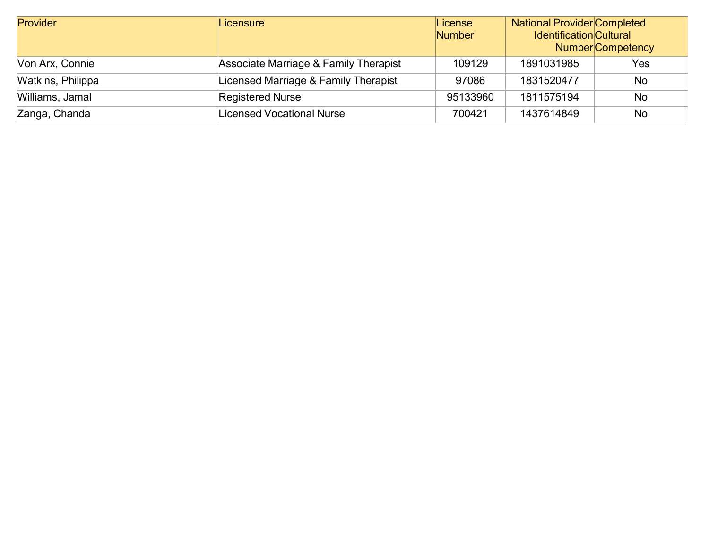| Provider          | Licensure                             | License<br><b>Number</b> | <b>National Provider Completed</b><br><b>Identification Cultural</b> | <b>Number</b> Competency |
|-------------------|---------------------------------------|--------------------------|----------------------------------------------------------------------|--------------------------|
| Von Arx, Connie   | Associate Marriage & Family Therapist | 109129                   | 1891031985                                                           | Yes                      |
| Watkins, Philippa | Licensed Marriage & Family Therapist  | 97086                    | 1831520477                                                           | <b>No</b>                |
| Williams, Jamal   | <b>Registered Nurse</b>               | 95133960                 | 1811575194                                                           | <b>No</b>                |
| Zanga, Chanda     | Licensed Vocational Nurse             | 700421                   | 1437614849                                                           | No                       |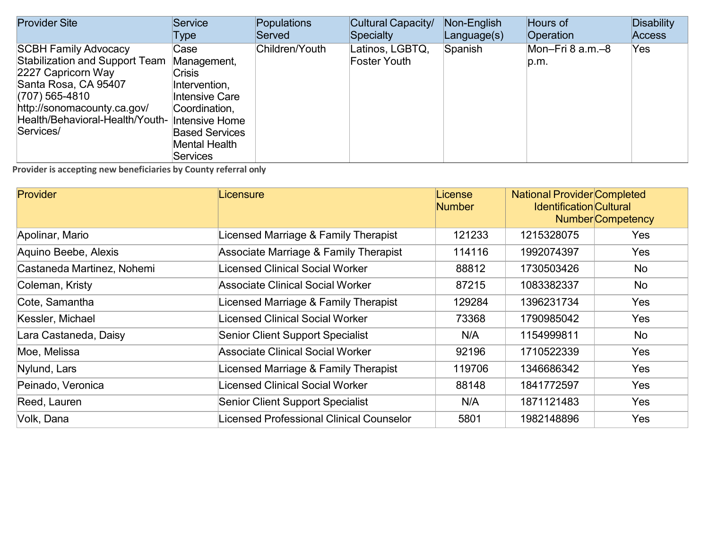| <b>Provider Site</b>                                                                                                                                                                                                               | Service                                                                                                                                                      | Populations    | Cultural Capacity/                     | Non-English | Hours of                 | <b>Disability</b> |
|------------------------------------------------------------------------------------------------------------------------------------------------------------------------------------------------------------------------------------|--------------------------------------------------------------------------------------------------------------------------------------------------------------|----------------|----------------------------------------|-------------|--------------------------|-------------------|
|                                                                                                                                                                                                                                    | Type                                                                                                                                                         | Served         | Specialty                              | Language(s) | Operation                | <b>Access</b>     |
| <b>SCBH Family Advocacy</b><br><b>Stabilization and Support Team</b><br>2227 Capricorn Way<br>Santa Rosa, CA 95407<br>(707) 565-4810<br>http://sonomacounty.ca.gov/<br>Health/Behavioral-Health/Youth- Intensive Home<br>Services/ | Case<br>Management,<br><b>Crisis</b><br>Intervention,<br>Intensive Care<br>Coordination,<br><b>Based Services</b><br><b>Mental Health</b><br><b>Services</b> | Children/Youth | Latinos, LGBTQ,<br><b>Foster Youth</b> | Spanish     | Mon-Fri 8 a.m.-8<br>p.m. | Yes               |

| <b>Provider</b>            | Licensure                                | License<br><b>Number</b> | <b>National Provider Completed</b><br><b>Identification Cultural</b> | <b>Number</b> Competency |
|----------------------------|------------------------------------------|--------------------------|----------------------------------------------------------------------|--------------------------|
| Apolinar, Mario            | Licensed Marriage & Family Therapist     | 121233                   | 1215328075                                                           | <b>Yes</b>               |
| Aquino Beebe, Alexis       | Associate Marriage & Family Therapist    | 114116                   | 1992074397                                                           | Yes                      |
| Castaneda Martinez, Nohemi | Licensed Clinical Social Worker          | 88812                    | 1730503426                                                           | No                       |
| Coleman, Kristy            | <b>Associate Clinical Social Worker</b>  | 87215                    | 1083382337                                                           | No                       |
| Cote, Samantha             | Licensed Marriage & Family Therapist     | 129284                   | 1396231734                                                           | Yes                      |
| Kessler, Michael           | Licensed Clinical Social Worker          | 73368                    | 1790985042                                                           | Yes                      |
| Lara Castaneda, Daisy      | <b>Senior Client Support Specialist</b>  | N/A                      | 1154999811                                                           | <b>No</b>                |
| Moe, Melissa               | <b>Associate Clinical Social Worker</b>  | 92196                    | 1710522339                                                           | Yes                      |
| Nylund, Lars               | Licensed Marriage & Family Therapist     | 119706                   | 1346686342                                                           | <b>Yes</b>               |
| Peinado, Veronica          | Licensed Clinical Social Worker          | 88148                    | 1841772597                                                           | Yes                      |
| Reed, Lauren               | <b>Senior Client Support Specialist</b>  | N/A                      | 1871121483                                                           | Yes                      |
| Volk, Dana                 | Licensed Professional Clinical Counselor | 5801                     | 1982148896                                                           | <b>Yes</b>               |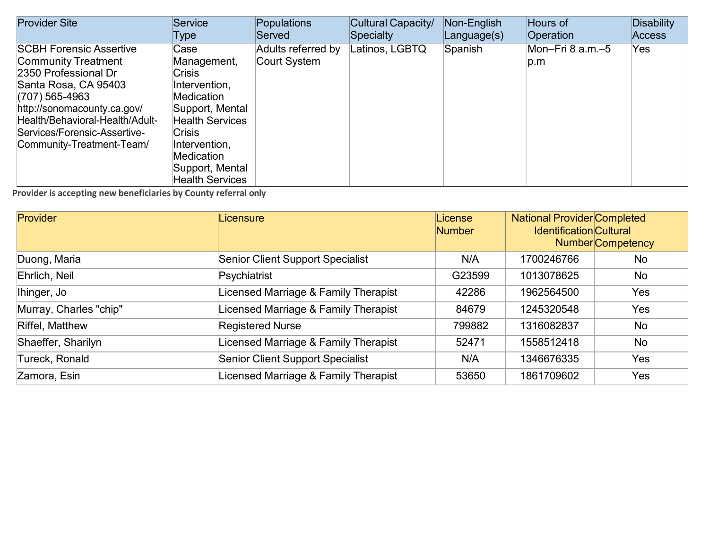| <b>Provider Site</b>                                                                                                                                                                                                                                          | <b>Service</b>                                                                                                                                                                                                              | Populations                        | Cultural Capacity/ | Non-English | Hours of                  | <b>Disability</b> |
|---------------------------------------------------------------------------------------------------------------------------------------------------------------------------------------------------------------------------------------------------------------|-----------------------------------------------------------------------------------------------------------------------------------------------------------------------------------------------------------------------------|------------------------------------|--------------------|-------------|---------------------------|-------------------|
|                                                                                                                                                                                                                                                               | Type                                                                                                                                                                                                                        | Served                             | Specialty          | Language(s) | Operation                 | <b>Access</b>     |
| <b>SCBH Forensic Assertive</b><br><b>Community Treatment</b><br>2350 Professional Dr<br>Santa Rosa, CA 95403<br>(707) 565-4963<br>http://sonomacounty.ca.gov/<br>Health/Behavioral-Health/Adult-<br>Services/Forensic-Assertive-<br>Community-Treatment-Team/ | Case<br>Management,<br><b>Crisis</b><br>Intervention,<br><b>Medication</b><br>Support, Mental<br><b>Health Services</b><br><b>Crisis</b><br>Intervention,<br><b>Medication</b><br>Support, Mental<br><b>Health Services</b> | Adults referred by<br>Court System | Latinos, LGBTQ     | Spanish     | Mon-Fri 8 $a.m.-5$<br>p.m | Yes               |

| <b>Provider</b>        | Licensure                               | License<br><b>Number</b> | <b>National Provider Completed</b><br><b>Identification Cultural</b><br><b>Number</b> Competency |     |
|------------------------|-----------------------------------------|--------------------------|--------------------------------------------------------------------------------------------------|-----|
| Duong, Maria           | <b>Senior Client Support Specialist</b> | N/A                      | 1700246766                                                                                       | No  |
| Ehrlich, Neil          | Psychiatrist                            | G23599                   | 1013078625                                                                                       | No  |
| Ihinger, Jo            | Licensed Marriage & Family Therapist    | 42286                    | 1962564500                                                                                       | Yes |
| Murray, Charles "chip" | Licensed Marriage & Family Therapist    | 84679                    | 1245320548                                                                                       | Yes |
| <b>Riffel, Matthew</b> | <b>Registered Nurse</b>                 | 799882                   | 1316082837                                                                                       | No  |
| Shaeffer, Sharilyn     | Licensed Marriage & Family Therapist    | 52471                    | 1558512418                                                                                       | No  |
| Tureck, Ronald         | <b>Senior Client Support Specialist</b> | N/A                      | 1346676335                                                                                       | Yes |
| Zamora, Esin           | Licensed Marriage & Family Therapist    | 53650                    | 1861709602                                                                                       | Yes |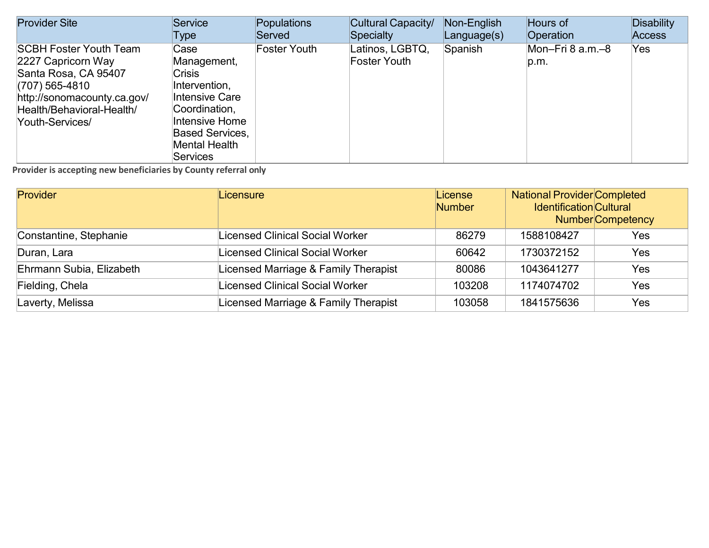| <b>Provider Site</b>                                                                                                                                                         | Service                                                                                                                                                                         | Populations         | Cultural Capacity/              | Non-English | Hours of                 | <b>Disability</b> |
|------------------------------------------------------------------------------------------------------------------------------------------------------------------------------|---------------------------------------------------------------------------------------------------------------------------------------------------------------------------------|---------------------|---------------------------------|-------------|--------------------------|-------------------|
|                                                                                                                                                                              | Type                                                                                                                                                                            | Served              | Specialty                       | Language(s) | Operation                | <b>Access</b>     |
| <b>SCBH Foster Youth Team</b><br>2227 Capricorn Way<br>Santa Rosa, CA 95407<br>(707) 565-4810<br>http://sonomacounty.ca.gov/<br>Health/Behavioral-Health/<br>Youth-Services/ | Case<br>Management,<br><b>Crisis</b><br>Intervention,<br>Intensive Care<br>Coordination,<br>Intensive Home<br><b>Based Services.</b><br><b>Mental Health</b><br><b>Services</b> | <b>Foster Youth</b> | Latinos, LGBTQ,<br>Foster Youth | Spanish     | Mon-Fri 8 a.m.-8<br>p.m. | Yes               |

| <b>Provider</b>          | Licensure                              | License<br><b>Number</b> | <b>National Provider Completed</b><br><b>Identification Cultural</b> | <b>Number</b> Competency |
|--------------------------|----------------------------------------|--------------------------|----------------------------------------------------------------------|--------------------------|
| Constantine, Stephanie   | <b>Licensed Clinical Social Worker</b> | 86279                    | 1588108427                                                           | Yes                      |
| Duran, Lara              | <b>Licensed Clinical Social Worker</b> | 60642                    | 1730372152                                                           | Yes                      |
| Ehrmann Subia, Elizabeth | Licensed Marriage & Family Therapist   | 80086                    | 1043641277                                                           | Yes                      |
| Fielding, Chela          | Licensed Clinical Social Worker        | 103208                   | 1174074702                                                           | Yes                      |
| Laverty, Melissa         | Licensed Marriage & Family Therapist   | 103058                   | 1841575636                                                           | Yes                      |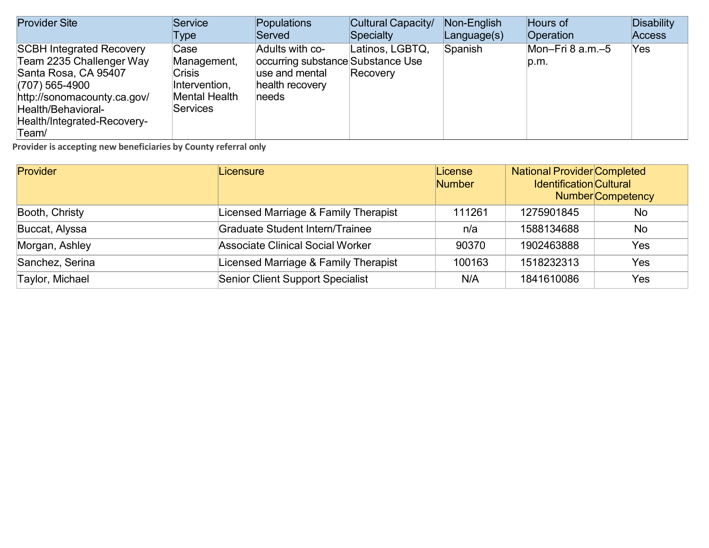| <b>Provider Site</b>                                                                                                                                                                                 | Service                                                                                   | Populations                                                                                        | Cultural Capacity/          | Non-English | Hours of                   | Disability    |
|------------------------------------------------------------------------------------------------------------------------------------------------------------------------------------------------------|-------------------------------------------------------------------------------------------|----------------------------------------------------------------------------------------------------|-----------------------------|-------------|----------------------------|---------------|
|                                                                                                                                                                                                      | Type                                                                                      | Served                                                                                             | Specialty                   | Language(s) | Operation                  | <b>Access</b> |
| <b>SCBH Integrated Recovery</b><br>Team 2235 Challenger Way<br>Santa Rosa, CA 95407<br>$(707)$ 565-4900<br>http://sonomacounty.ca.gov/<br>Health/Behavioral-<br>Health/Integrated-Recovery-<br>Team/ | Case<br>Management,<br><b>Crisis</b><br>Intervention,<br><b>Mental Health</b><br>Services | Adults with co-<br>occurring substance Substance Use<br>use and mental<br>health recovery<br>needs | Latinos, LGBTQ,<br>Recovery | Spanish     | Mon-Fri 8 $a.m.-5$<br>p.m. | Yes.          |

| <b>Provider</b>        | Licensure                               | License<br>Number | <b>National Provider Completed</b><br><b>Identification Cultural</b> | <b>Number</b> Competency |
|------------------------|-----------------------------------------|-------------------|----------------------------------------------------------------------|--------------------------|
| Booth, Christy         | Licensed Marriage & Family Therapist    | 111261            | 1275901845                                                           | <b>No</b>                |
| Buccat, Alyssa         | <b>Graduate Student Intern/Trainee</b>  | n/a               | 1588134688                                                           | No                       |
| Morgan, Ashley         | <b>Associate Clinical Social Worker</b> | 90370             | 1902463888                                                           | Yes                      |
| Sanchez, Serina        | Licensed Marriage & Family Therapist    | 100163            | 1518232313                                                           | Yes                      |
| <b>Taylor, Michael</b> | <b>Senior Client Support Specialist</b> | N/A               | 1841610086                                                           | Yes                      |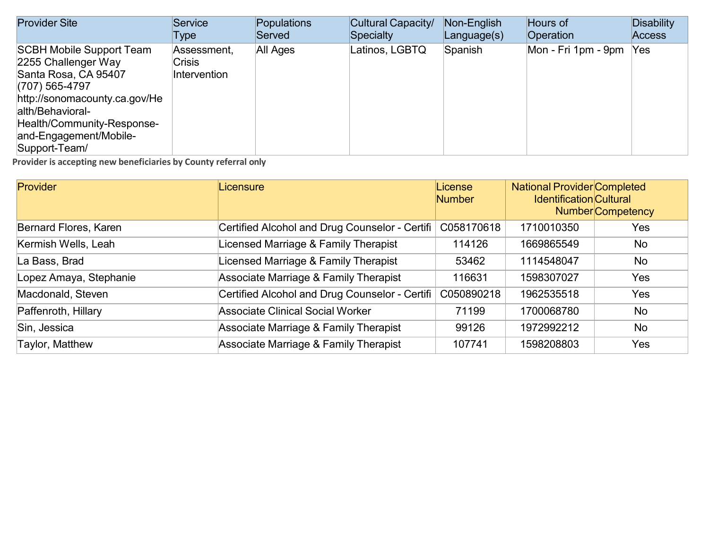| <b>Provider Site</b>                                                                                                                                                                                                           | Service                                      | Populations<br>Served | Cultural Capacity/<br>Specialty | Non-English | Hours of<br><b>Operation</b> | <b>Disability</b> |
|--------------------------------------------------------------------------------------------------------------------------------------------------------------------------------------------------------------------------------|----------------------------------------------|-----------------------|---------------------------------|-------------|------------------------------|-------------------|
|                                                                                                                                                                                                                                | Type                                         |                       |                                 | Language(s) |                              | Access            |
| <b>SCBH Mobile Support Team</b><br>2255 Challenger Way<br>Santa Rosa, CA 95407<br>(707) 565-4797<br>http://sonomacounty.ca.gov/He<br>alth/Behavioral-<br>Health/Community-Response-<br>and-Engagement/Mobile-<br>Support-Team/ | Assessment,<br><b>Crisis</b><br>Intervention | <b>All Ages</b>       | Latinos, LGBTQ                  | Spanish     | Mon - Fri 1pm - 9pm          | <b>Yes</b>        |

| <b>Provider</b>        | Licensure                                        | License<br><b>Number</b> | <b>National Provider Completed</b><br><b>Identification Cultural</b> | <b>Number</b> Competency |
|------------------------|--------------------------------------------------|--------------------------|----------------------------------------------------------------------|--------------------------|
| Bernard Flores, Karen  | Certified Alcohol and Drug Counselor - Certifi   | C058170618               | 1710010350                                                           | Yes                      |
| Kermish Wells, Leah    | Licensed Marriage & Family Therapist             | 114126                   | 1669865549                                                           | No                       |
| La Bass, Brad          | Licensed Marriage & Family Therapist             | 53462                    | 1114548047                                                           | No                       |
| Lopez Amaya, Stephanie | Associate Marriage & Family Therapist            | 116631                   | 1598307027                                                           | Yes                      |
| Macdonald, Steven      | Certified Alcohol and Drug Counselor - Certifi   | C050890218               | 1962535518                                                           | Yes                      |
| Paffenroth, Hillary    | <b>Associate Clinical Social Worker</b>          | 71199                    | 1700068780                                                           | No                       |
| Sin, Jessica           | <b>Associate Marriage &amp; Family Therapist</b> | 99126                    | 1972992212                                                           | No                       |
| Taylor, Matthew        | <b>Associate Marriage &amp; Family Therapist</b> | 107741                   | 1598208803                                                           | Yes                      |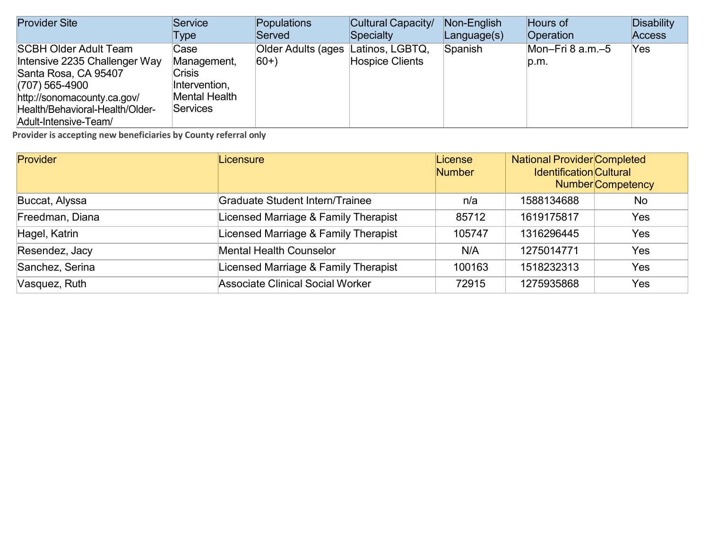| <b>Provider Site</b>                                                                                                                                                                                 | Service                                                                                   | Populations                                 | Cultural Capacity/     | Non-English       | Hours of                      | <b>Disability</b> |
|------------------------------------------------------------------------------------------------------------------------------------------------------------------------------------------------------|-------------------------------------------------------------------------------------------|---------------------------------------------|------------------------|-------------------|-------------------------------|-------------------|
|                                                                                                                                                                                                      | Type                                                                                      | Served                                      | Specialty              | $L$ anguage $(s)$ | Operation                     | <b>Access</b>     |
| <b>SCBH Older Adult Team</b><br>Intensive 2235 Challenger Way<br>Santa Rosa, CA 95407<br>$(707)$ 565-4900<br>http://sonomacounty.ca.gov/<br>Health/Behavioral-Health/Older-<br>Adult-Intensive-Team/ | Case<br>Management,<br><b>Crisis</b><br>Intervention,<br><b>Mental Health</b><br>Services | Older Adults (ages Latinos, LGBTQ,<br>$60+$ | <b>Hospice Clients</b> | Spanish           | Mon-Fri $8$ a.m. $-5$<br>p.m. | Yes               |

| Provider        | Licensure                               | License<br><b>Number</b> | <b>National Provider Completed</b><br><b>Identification Cultural</b> | <b>Number</b> Competency |
|-----------------|-----------------------------------------|--------------------------|----------------------------------------------------------------------|--------------------------|
| Buccat, Alyssa  | Graduate Student Intern/Trainee         | n/a                      | 1588134688                                                           | No                       |
| Freedman, Diana | Licensed Marriage & Family Therapist    | 85712                    | 1619175817                                                           | Yes                      |
| Hagel, Katrin   | Licensed Marriage & Family Therapist    | 105747                   | 1316296445                                                           | Yes                      |
| Resendez, Jacy  | <b>Mental Health Counselor</b>          | N/A                      | 1275014771                                                           | Yes                      |
| Sanchez, Serina | Licensed Marriage & Family Therapist    | 100163                   | 1518232313                                                           | Yes                      |
| Vasquez, Ruth   | <b>Associate Clinical Social Worker</b> | 72915                    | 1275935868                                                           | Yes                      |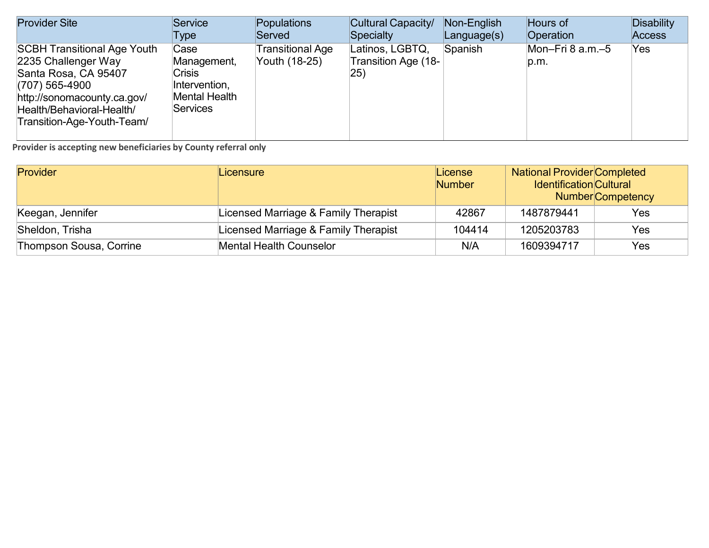| <b>Provider Site</b>                                                                                                                                                                            | Service                                                                                   | Populations                              | Cultural Capacity/                            | Non-English | Hours of                 | Disability    |
|-------------------------------------------------------------------------------------------------------------------------------------------------------------------------------------------------|-------------------------------------------------------------------------------------------|------------------------------------------|-----------------------------------------------|-------------|--------------------------|---------------|
|                                                                                                                                                                                                 | Type                                                                                      | Served                                   | Specialty                                     | Language(s) | Operation                | <b>Access</b> |
| <b>SCBH Transitional Age Youth</b><br>2235 Challenger Way<br>Santa Rosa, CA 95407<br>$(707)$ 565-4900<br>http://sonomacounty.ca.gov/<br>Health/Behavioral-Health/<br>Transition-Age-Youth-Team/ | Case<br>Management,<br><b>Crisis</b><br>Intervention,<br>Mental Health<br><b>Services</b> | <b>Transitional Age</b><br>Youth (18-25) | Latinos, LGBTQ,<br>Transition Age (18-<br>25) | Spanish     | Mon-Fri 8 a.m.-5<br>p.m. | Yes           |

| Provider                | Licensure                            | License<br><b>Number</b> | <b>National Provider Completed</b><br><b>Identification Cultural</b><br><b>Number</b> Competency |     |
|-------------------------|--------------------------------------|--------------------------|--------------------------------------------------------------------------------------------------|-----|
| Keegan, Jennifer        | Licensed Marriage & Family Therapist | 42867                    | 1487879441                                                                                       | Yes |
| Sheldon, Trisha         | Licensed Marriage & Family Therapist | 104414                   | 1205203783                                                                                       | Yes |
| Thompson Sousa, Corrine | <b>Mental Health Counselor</b>       | N/A                      | 1609394717                                                                                       | Yes |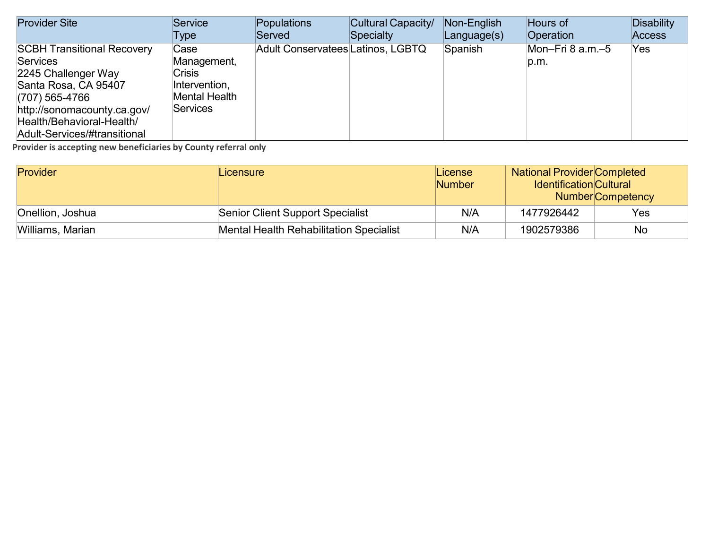| <b>Provider Site</b>              | Service              | Populations                              | Cultural Capacity/ | Non-English | Hours of           | <b>Disability</b> |
|-----------------------------------|----------------------|------------------------------------------|--------------------|-------------|--------------------|-------------------|
|                                   | Type                 | Served                                   | Specialty          | Language(s) | Operation          | <b>Access</b>     |
| <b>SCBH Transitional Recovery</b> | Case                 | <b>Adult Conservatees Latinos, LGBTQ</b> |                    | Spanish     | Mon-Fri 8 $a.m.-5$ | Yes               |
| <b>Services</b>                   | Management,          |                                          |                    |             | p.m.               |                   |
| 2245 Challenger Way               | <b>Crisis</b>        |                                          |                    |             |                    |                   |
| Santa Rosa, CA 95407              | Intervention,        |                                          |                    |             |                    |                   |
| $(707)$ 565-4766                  | <b>Mental Health</b> |                                          |                    |             |                    |                   |
| http://sonomacounty.ca.gov/       | Services             |                                          |                    |             |                    |                   |
| Health/Behavioral-Health/         |                      |                                          |                    |             |                    |                   |
| Adult-Services/#transitional      |                      |                                          |                    |             |                    |                   |

| <b>Provider</b>  | Licensure                                      | License<br><b>Number</b> | <b>National Provider Completed</b><br><b>Identification</b> Cultural<br><b>Number</b> Competency |
|------------------|------------------------------------------------|--------------------------|--------------------------------------------------------------------------------------------------|
| Onellion, Joshua | <b>Senior Client Support Specialist</b>        | N/A                      | Yes<br>1477926442                                                                                |
| Williams, Marian | <b>Mental Health Rehabilitation Specialist</b> | N/A                      | 1902579386<br>No                                                                                 |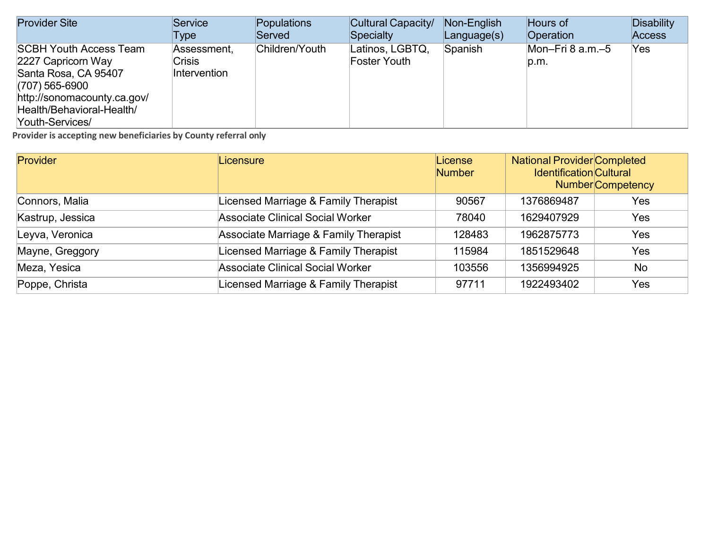| <b>Provider Site</b>                                                                                                                                                           | Service                                      | Populations    | Cultural Capacity/                     | Non-English       | Hours of                 | <b>Disability</b> |
|--------------------------------------------------------------------------------------------------------------------------------------------------------------------------------|----------------------------------------------|----------------|----------------------------------------|-------------------|--------------------------|-------------------|
|                                                                                                                                                                                | Type                                         | Served         | Specialty                              | $L$ anguage $(s)$ | Operation                | <b>Access</b>     |
| <b>SCBH Youth Access Team</b><br>2227 Capricorn Way<br>Santa Rosa, CA 95407<br>$(707)$ 565-6900<br>http://sonomacounty.ca.gov/<br>Health/Behavioral-Health/<br>Youth-Services/ | Assessment.<br><b>Crisis</b><br>Intervention | Children/Youth | Latinos, LGBTQ,<br><b>Foster Youth</b> | Spanish           | Mon-Fri 8 a.m.-5<br>p.m. | Yes               |

| <b>Provider</b>  | Licensure                               | License<br><b>Number</b> | <b>National Provider Completed</b><br><b>Identification Cultural</b> | <b>Number</b> Competency |
|------------------|-----------------------------------------|--------------------------|----------------------------------------------------------------------|--------------------------|
| Connors, Malia   | Licensed Marriage & Family Therapist    | 90567                    | 1376869487                                                           | Yes                      |
| Kastrup, Jessica | <b>Associate Clinical Social Worker</b> | 78040                    | 1629407929                                                           | Yes                      |
| Leyva, Veronica  | Associate Marriage & Family Therapist   | 128483                   | 1962875773                                                           | Yes                      |
| Mayne, Greggory  | Licensed Marriage & Family Therapist    | 115984                   | 1851529648                                                           | Yes                      |
| Meza, Yesica     | <b>Associate Clinical Social Worker</b> | 103556                   | 1356994925                                                           | <b>No</b>                |
| Poppe, Christa   | Licensed Marriage & Family Therapist    | 97711                    | 1922493402                                                           | Yes                      |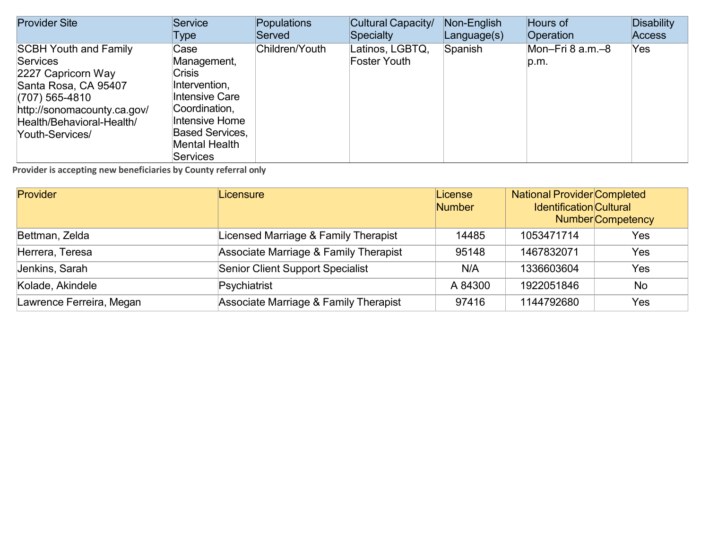| <b>Provider Site</b>                                                                                                                                                                             | Service                                                                                                                                                           | Populations    | Cultural Capacity/                     | Non-English | Hours of                 | Disability    |
|--------------------------------------------------------------------------------------------------------------------------------------------------------------------------------------------------|-------------------------------------------------------------------------------------------------------------------------------------------------------------------|----------------|----------------------------------------|-------------|--------------------------|---------------|
|                                                                                                                                                                                                  | Type                                                                                                                                                              | Served         | Specialty                              | Language(s) | <b>Operation</b>         | <b>Access</b> |
| <b>SCBH Youth and Family</b><br><b>Services</b><br>2227 Capricorn Way<br>Santa Rosa, CA 95407<br>$(707)$ 565-4810<br>http://sonomacounty.ca.gov/<br>Health/Behavioral-Health/<br>Youth-Services/ | Case<br>Management,<br><b>Crisis</b><br>Intervention,<br>Intensive Care<br>Coordination,<br>Intensive Home<br><b>Based Services.</b><br>Mental Health<br>Services | Children/Youth | Latinos, LGBTQ,<br><b>Foster Youth</b> | Spanish     | Mon-Fri 8 a.m.-8<br>p.m. | Yes           |

| Provider                 | Licensure                               | License<br><b>Number</b> | <b>National Provider Completed</b><br><b>Identification Cultural</b><br><b>Number</b> Competency |           |
|--------------------------|-----------------------------------------|--------------------------|--------------------------------------------------------------------------------------------------|-----------|
| Bettman, Zelda           | Licensed Marriage & Family Therapist    | 14485                    | 1053471714                                                                                       | Yes       |
| Herrera, Teresa          | Associate Marriage & Family Therapist   | 95148                    | 1467832071                                                                                       | Yes       |
| Jenkins, Sarah           | <b>Senior Client Support Specialist</b> | N/A                      | 1336603604                                                                                       | Yes       |
| Kolade, Akindele         | Psychiatrist                            | A 84300                  | 1922051846                                                                                       | <b>No</b> |
| Lawrence Ferreira, Megan | Associate Marriage & Family Therapist   | 97416                    | 1144792680                                                                                       | Yes       |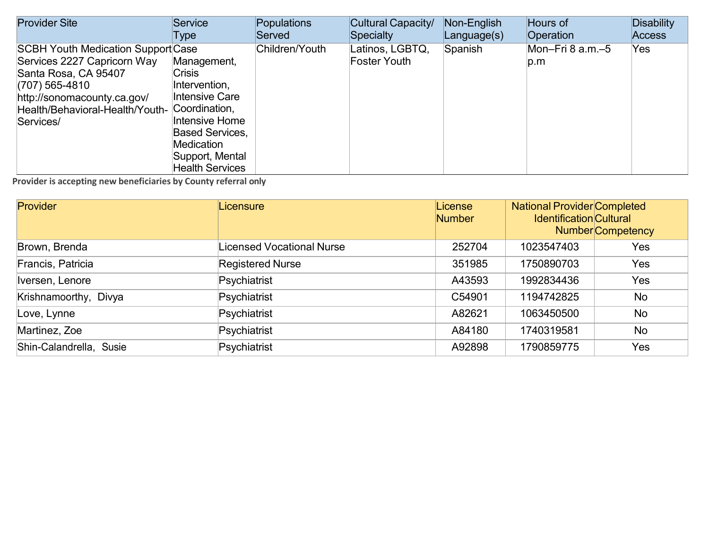| <b>Provider Site</b>                                                                                                                                                                              | Service                                                                                                                                                                                        | Populations    | Cultural Capacity/                     | Non-English | Hours of                     | <b>Disability</b> |
|---------------------------------------------------------------------------------------------------------------------------------------------------------------------------------------------------|------------------------------------------------------------------------------------------------------------------------------------------------------------------------------------------------|----------------|----------------------------------------|-------------|------------------------------|-------------------|
|                                                                                                                                                                                                   | Type                                                                                                                                                                                           | Served         | <b>Specialty</b>                       | Language(s) | Operation                    | <b>Access</b>     |
| <b>SCBH Youth Medication Support Case</b><br>Services 2227 Capricorn Way<br>Santa Rosa, CA 95407<br>(707) 565-4810<br>http://sonomacounty.ca.gov/<br>Health/Behavioral-Health/Youth-<br>Services/ | Management,<br><b>Crisis</b><br>Intervention,<br>Intensive Care<br>Coordination,<br>Intensive Home<br><b>Based Services,</b><br><b>Medication</b><br>Support, Mental<br><b>Health Services</b> | Children/Youth | Latinos, LGBTQ,<br><b>Foster Youth</b> | Spanish     | Mon-Fri $8$ a.m. $-5$<br>p.m | Yes.              |

| <b>Provider</b>         | Licensure                        | License<br><b>Number</b> | <b>National Provider Completed</b><br><b>Identification Cultural</b> | <b>Number</b> Competency |
|-------------------------|----------------------------------|--------------------------|----------------------------------------------------------------------|--------------------------|
| Brown, Brenda           | <b>Licensed Vocational Nurse</b> | 252704                   | 1023547403                                                           | Yes                      |
| Francis, Patricia       | <b>Registered Nurse</b>          | 351985                   | 1750890703                                                           | Yes                      |
| Iversen, Lenore         | Psychiatrist                     | A43593                   | 1992834436                                                           | Yes                      |
| Krishnamoorthy, Divya   | Psychiatrist                     | C54901                   | 1194742825                                                           | No                       |
| Love, Lynne             | Psychiatrist                     | A82621                   | 1063450500                                                           | No                       |
| Martinez, Zoe           | Psychiatrist                     | A84180                   | 1740319581                                                           | No                       |
| Shin-Calandrella, Susie | Psychiatrist                     | A92898                   | 1790859775                                                           | Yes                      |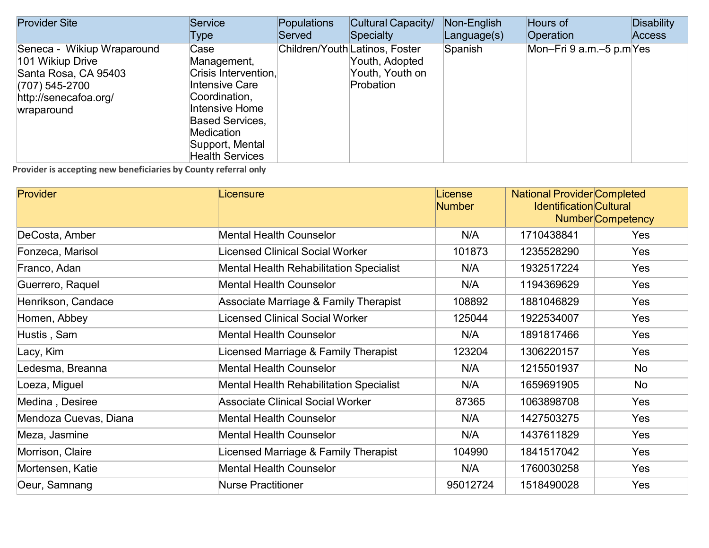| <b>Provider Site</b>                                                                                                            | Service                                                                                                                                                                                      | Populations | Cultural Capacity/                                                               | Non-English | Hours of                 | Disability    |
|---------------------------------------------------------------------------------------------------------------------------------|----------------------------------------------------------------------------------------------------------------------------------------------------------------------------------------------|-------------|----------------------------------------------------------------------------------|-------------|--------------------------|---------------|
|                                                                                                                                 | Type                                                                                                                                                                                         | Served      | Specialty                                                                        | Language(s) | <b>Operation</b>         | <b>Access</b> |
| Seneca - Wikiup Wraparound<br>101 Wikiup Drive<br>Santa Rosa, CA 95403<br>(707) 545-2700<br>http://senecafoa.org/<br>wraparound | Case<br>Management,<br>Crisis Intervention,<br>Intensive Care<br>Coordination,<br>Intensive Home<br><b>Based Services,</b><br><b>Medication</b><br>Support, Mental<br><b>Health Services</b> |             | Children/Youth Latinos, Foster<br>Youth, Adopted<br>Youth, Youth on<br>Probation | Spanish     | Mon-Fri 9 a.m.-5 p.m Yes |               |

| <b>Provider</b>       | Licensure                               | License<br><b>Number</b> | <b>National Provider Completed</b><br><b>Identification Cultural</b> | Number Competency |
|-----------------------|-----------------------------------------|--------------------------|----------------------------------------------------------------------|-------------------|
| DeCosta, Amber        | <b>Mental Health Counselor</b>          | N/A                      | 1710438841                                                           | <b>Yes</b>        |
| Fonzeca, Marisol      | Licensed Clinical Social Worker         | 101873                   | 1235528290                                                           | Yes               |
| Franco, Adan          | Mental Health Rehabilitation Specialist | N/A                      | 1932517224                                                           | Yes               |
| Guerrero, Raquel      | <b>Mental Health Counselor</b>          | N/A                      | 1194369629                                                           | Yes               |
| Henrikson, Candace    | Associate Marriage & Family Therapist   | 108892                   | 1881046829                                                           | Yes               |
| Homen, Abbey          | Licensed Clinical Social Worker         | 125044                   | 1922534007                                                           | Yes               |
| Hustis, Sam           | <b>Mental Health Counselor</b>          | N/A                      | 1891817466                                                           | <b>Yes</b>        |
| Lacy, Kim             | Licensed Marriage & Family Therapist    | 123204                   | 1306220157                                                           | Yes               |
| Ledesma, Breanna      | <b>Mental Health Counselor</b>          | N/A                      | 1215501937                                                           | No                |
| Loeza, Miguel         | Mental Health Rehabilitation Specialist | N/A                      | 1659691905                                                           | No                |
| Medina, Desiree       | <b>Associate Clinical Social Worker</b> | 87365                    | 1063898708                                                           | Yes               |
| Mendoza Cuevas, Diana | <b>Mental Health Counselor</b>          | N/A                      | 1427503275                                                           | Yes               |
| Meza, Jasmine         | <b>Mental Health Counselor</b>          | N/A                      | 1437611829                                                           | Yes               |
| Morrison, Claire      | Licensed Marriage & Family Therapist    | 104990                   | 1841517042                                                           | Yes               |
| Mortensen, Katie      | <b>Mental Health Counselor</b>          | N/A                      | 1760030258                                                           | Yes               |
| Oeur, Samnang         | <b>Nurse Practitioner</b>               | 95012724                 | 1518490028                                                           | Yes               |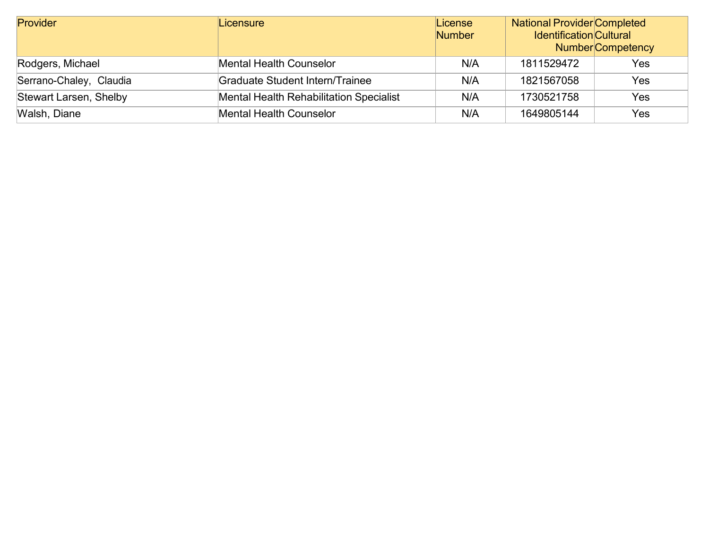| Provider                | Licensure                                      | License<br><b>Number</b> | National Provider Completed<br><b>Identification Cultural</b> | <b>Number</b> Competency |
|-------------------------|------------------------------------------------|--------------------------|---------------------------------------------------------------|--------------------------|
| Rodgers, Michael        | <b>Mental Health Counselor</b>                 | N/A                      | 1811529472                                                    | Yes                      |
| Serrano-Chaley, Claudia | <b>Graduate Student Intern/Trainee</b>         | N/A                      | 1821567058                                                    | Yes                      |
| Stewart Larsen, Shelby  | <b>Mental Health Rehabilitation Specialist</b> | N/A                      | 1730521758                                                    | Yes                      |
| Walsh, Diane            | <b>Mental Health Counselor</b>                 | N/A                      | 1649805144                                                    | Yes                      |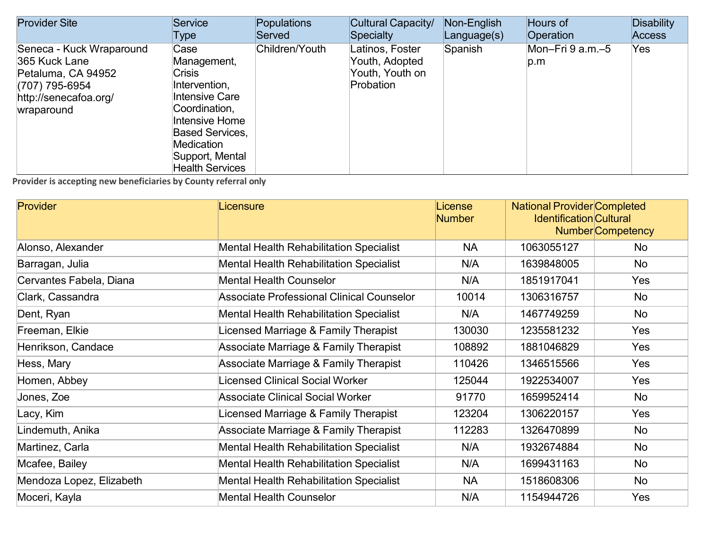| <b>Provider Site</b>                                                                                                     | Service                                                                                                                                                                                                | <b>Populations</b> | Cultural Capacity/                                                | Non-English | Hours of                | <b>Disability</b> |
|--------------------------------------------------------------------------------------------------------------------------|--------------------------------------------------------------------------------------------------------------------------------------------------------------------------------------------------------|--------------------|-------------------------------------------------------------------|-------------|-------------------------|-------------------|
|                                                                                                                          | Type                                                                                                                                                                                                   | Served             | <b>Specialty</b>                                                  | Language(s) | Operation               | <b>Access</b>     |
| Seneca - Kuck Wraparound<br>365 Kuck Lane<br>Petaluma, CA 94952<br>(707) 795-6954<br>http://senecafoa.org/<br>wraparound | Case<br>Management,<br><b>Crisis</b><br>Intervention,<br><b>Intensive Care</b><br>Coordination,<br>Intensive Home<br><b>Based Services,</b><br>Medication<br>Support, Mental<br><b>Health Services</b> | Children/Youth     | Latinos, Foster<br>Youth, Adopted<br>Youth, Youth on<br>Probation | Spanish     | Mon-Fri 9 a.m.-5<br>p.m | Yes               |

| Provider                 | Licensure                                      | License<br><b>Number</b> | <b>National Provider Completed</b><br><b>Identification</b> Cultural | Number Competency |
|--------------------------|------------------------------------------------|--------------------------|----------------------------------------------------------------------|-------------------|
| Alonso, Alexander        | <b>Mental Health Rehabilitation Specialist</b> | <b>NA</b>                | 1063055127                                                           | No                |
| Barragan, Julia          | <b>Mental Health Rehabilitation Specialist</b> | N/A                      | 1639848005                                                           | No                |
| Cervantes Fabela, Diana  | <b>Mental Health Counselor</b>                 | N/A                      | 1851917041                                                           | Yes               |
| Clark, Cassandra         | Associate Professional Clinical Counselor      | 10014                    | 1306316757                                                           | No                |
| Dent, Ryan               | <b>Mental Health Rehabilitation Specialist</b> | N/A                      | 1467749259                                                           | No                |
| Freeman, Elkie           | Licensed Marriage & Family Therapist           | 130030                   | 1235581232                                                           | Yes               |
| Henrikson, Candace       | Associate Marriage & Family Therapist          | 108892                   | 1881046829                                                           | Yes               |
| Hess, Mary               | Associate Marriage & Family Therapist          | 110426                   | 1346515566                                                           | Yes               |
| Homen, Abbey             | Licensed Clinical Social Worker                | 125044                   | 1922534007                                                           | Yes               |
| Jones, Zoe               | <b>Associate Clinical Social Worker</b>        | 91770                    | 1659952414                                                           | No                |
| Lacy, Kim                | Licensed Marriage & Family Therapist           | 123204                   | 1306220157                                                           | Yes               |
| Lindemuth, Anika         | Associate Marriage & Family Therapist          | 112283                   | 1326470899                                                           | No                |
| Martinez, Carla          | <b>Mental Health Rehabilitation Specialist</b> | N/A                      | 1932674884                                                           | No                |
| Mcafee, Bailey           | <b>Mental Health Rehabilitation Specialist</b> | N/A                      | 1699431163                                                           | No                |
| Mendoza Lopez, Elizabeth | <b>Mental Health Rehabilitation Specialist</b> | <b>NA</b>                | 1518608306                                                           | No                |
| Moceri, Kayla            | <b>Mental Health Counselor</b>                 | N/A                      | 1154944726                                                           | Yes               |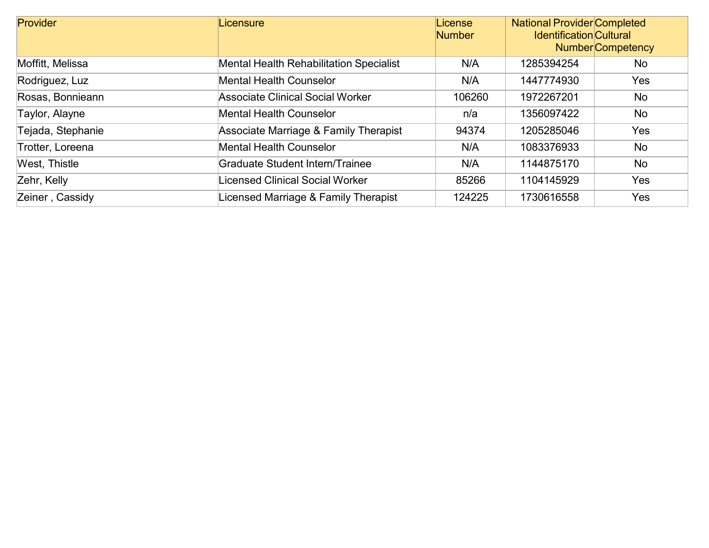| Provider          | Licensure                                      | License<br><b>Number</b> | <b>National Provider Completed</b><br><b>Identification Cultural</b><br><b>Number</b> Competency |            |
|-------------------|------------------------------------------------|--------------------------|--------------------------------------------------------------------------------------------------|------------|
| Moffitt, Melissa  | <b>Mental Health Rehabilitation Specialist</b> | N/A                      | 1285394254                                                                                       | No         |
| Rodriguez, Luz    | Mental Health Counselor                        | N/A                      | 1447774930                                                                                       | <b>Yes</b> |
| Rosas, Bonnieann  | <b>Associate Clinical Social Worker</b>        | 106260                   | 1972267201                                                                                       | No         |
| Taylor, Alayne    | <b>Mental Health Counselor</b>                 | n/a                      | 1356097422                                                                                       | No         |
| Tejada, Stephanie | Associate Marriage & Family Therapist          | 94374                    | 1205285046                                                                                       | Yes        |
| Trotter, Loreena  | Mental Health Counselor                        | N/A                      | 1083376933                                                                                       | No         |
| West, Thistle     | <b>Graduate Student Intern/Trainee</b>         | N/A                      | 1144875170                                                                                       | No         |
| Zehr, Kelly       | Licensed Clinical Social Worker                | 85266                    | 1104145929                                                                                       | Yes        |
| Zeiner, Cassidy   | Licensed Marriage & Family Therapist           | 124225                   | 1730616558                                                                                       | Yes        |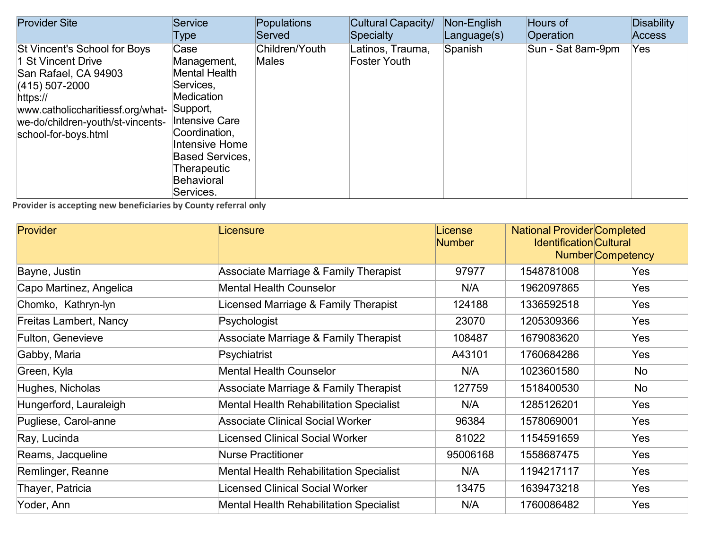| <b>Provider Site</b>                                                                                                                                                                                         | Service                                                                                                                                                                                                                   | Populations                    | Cultural Capacity/               | Non-English | Hours of          | <b>Disability</b> |
|--------------------------------------------------------------------------------------------------------------------------------------------------------------------------------------------------------------|---------------------------------------------------------------------------------------------------------------------------------------------------------------------------------------------------------------------------|--------------------------------|----------------------------------|-------------|-------------------|-------------------|
|                                                                                                                                                                                                              | Type                                                                                                                                                                                                                      | Served                         | Specialty                        | Language(s) | <b>Operation</b>  | <b>Access</b>     |
| St Vincent's School for Boys<br>1 St Vincent Drive<br>San Rafael, CA 94903<br>$(415)$ 507-2000<br>https://<br>www.catholiccharitiessf.org/what-<br>we-do/children-youth/st-vincents-<br>school-for-boys.html | Case<br>Management,<br><b>Mental Health</b><br>Services,<br><b>Medication</b><br>Support,<br><b>Intensive Care</b><br>Coordination,<br>Intensive Home<br><b>Based Services.</b><br>Therapeutic<br>Behavioral<br>Services. | Children/Youth<br><b>Males</b> | Latinos, Trauma,<br>Foster Youth | Spanish     | Sun - Sat 8am-9pm | Yes               |

| <b>Provider</b>         | Licensure                                      | License<br><b>Number</b> | <b>National Provider Completed</b><br><b>Identification Cultural</b><br><b>Number</b> Competency |            |
|-------------------------|------------------------------------------------|--------------------------|--------------------------------------------------------------------------------------------------|------------|
| Bayne, Justin           | Associate Marriage & Family Therapist          | 97977                    | 1548781008                                                                                       | Yes        |
| Capo Martinez, Angelica | <b>Mental Health Counselor</b>                 | N/A                      | 1962097865                                                                                       | Yes        |
| Chomko, Kathryn-lyn     | Licensed Marriage & Family Therapist           | 124188                   | 1336592518                                                                                       | Yes        |
| Freitas Lambert, Nancy  | Psychologist                                   | 23070                    | 1205309366                                                                                       | Yes        |
| Fulton, Genevieve       | Associate Marriage & Family Therapist          | 108487                   | 1679083620                                                                                       | <b>Yes</b> |
| Gabby, Maria            | Psychiatrist                                   | A43101                   | 1760684286                                                                                       | <b>Yes</b> |
| Green, Kyla             | <b>Mental Health Counselor</b>                 | N/A                      | 1023601580                                                                                       | No         |
| Hughes, Nicholas        | Associate Marriage & Family Therapist          | 127759                   | 1518400530                                                                                       | No         |
| Hungerford, Lauraleigh  | <b>Mental Health Rehabilitation Specialist</b> | N/A                      | 1285126201                                                                                       | Yes        |
| Pugliese, Carol-anne    | <b>Associate Clinical Social Worker</b>        | 96384                    | 1578069001                                                                                       | Yes        |
| Ray, Lucinda            | Licensed Clinical Social Worker                | 81022                    | 1154591659                                                                                       | Yes        |
| Reams, Jacqueline       | <b>Nurse Practitioner</b>                      | 95006168                 | 1558687475                                                                                       | Yes        |
| Remlinger, Reanne       | <b>Mental Health Rehabilitation Specialist</b> | N/A                      | 1194217117                                                                                       | <b>Yes</b> |
| Thayer, Patricia        | Licensed Clinical Social Worker                | 13475                    | 1639473218                                                                                       | Yes        |
| Yoder, Ann              | <b>Mental Health Rehabilitation Specialist</b> | N/A                      | 1760086482                                                                                       | Yes        |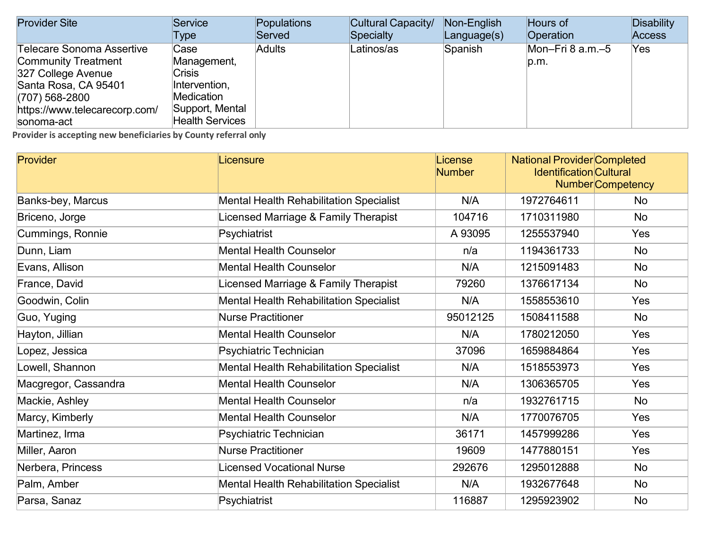| <b>Provider Site</b>          | Service                | Populations   | Cultural Capacity/ | Non-English       | Hours of         | Disability    |
|-------------------------------|------------------------|---------------|--------------------|-------------------|------------------|---------------|
|                               | Type                   | Served        | Specialty          | $L$ anguage $(s)$ | Operation        | <b>Access</b> |
| Telecare Sonoma Assertive     | Case                   | <b>Adults</b> | Latinos/as         | Spanish           | Mon–Fri 8 a.m.–5 | Yes           |
| <b>Community Treatment</b>    | Management,            |               |                    |                   | p.m.             |               |
| 327 College Avenue            | <b>Crisis</b>          |               |                    |                   |                  |               |
| Santa Rosa, CA 95401          | Intervention,          |               |                    |                   |                  |               |
| $(707)$ 568-2800              | <b>Medication</b>      |               |                    |                   |                  |               |
| https://www.telecarecorp.com/ | Support, Mental        |               |                    |                   |                  |               |
| sonoma-act                    | <b>Health Services</b> |               |                    |                   |                  |               |

| Provider             | Licensure                                      | License<br><b>Number</b> | <b>National Provider Completed</b><br><b>Identification Cultural</b> | <b>Number</b> Competency |
|----------------------|------------------------------------------------|--------------------------|----------------------------------------------------------------------|--------------------------|
| Banks-bey, Marcus    | <b>Mental Health Rehabilitation Specialist</b> | N/A                      | 1972764611                                                           | <b>No</b>                |
| Briceno, Jorge       | Licensed Marriage & Family Therapist           | 104716                   | 1710311980                                                           | <b>No</b>                |
| Cummings, Ronnie     | Psychiatrist                                   | A 93095                  | 1255537940                                                           | Yes                      |
| Dunn, Liam           | <b>Mental Health Counselor</b>                 | n/a                      | 1194361733                                                           | <b>No</b>                |
| Evans, Allison       | <b>Mental Health Counselor</b>                 | N/A                      | 1215091483                                                           | <b>No</b>                |
| France, David        | Licensed Marriage & Family Therapist           | 79260                    | 1376617134                                                           | No                       |
| Goodwin, Colin       | <b>Mental Health Rehabilitation Specialist</b> | N/A                      | 1558553610                                                           | Yes                      |
| Guo, Yuging          | <b>Nurse Practitioner</b>                      | 95012125                 | 1508411588                                                           | <b>No</b>                |
| Hayton, Jillian      | <b>Mental Health Counselor</b>                 | N/A                      | 1780212050                                                           | Yes                      |
| Lopez, Jessica       | Psychiatric Technician                         | 37096                    | 1659884864                                                           | Yes                      |
| Lowell, Shannon      | <b>Mental Health Rehabilitation Specialist</b> | N/A                      | 1518553973                                                           | Yes                      |
| Macgregor, Cassandra | <b>Mental Health Counselor</b>                 | N/A                      | 1306365705                                                           | Yes                      |
| Mackie, Ashley       | <b>Mental Health Counselor</b>                 | n/a                      | 1932761715                                                           | <b>No</b>                |
| Marcy, Kimberly      | <b>Mental Health Counselor</b>                 | N/A                      | 1770076705                                                           | Yes                      |
| Martinez, Irma       | Psychiatric Technician                         | 36171                    | 1457999286                                                           | Yes                      |
| Miller, Aaron        | <b>Nurse Practitioner</b>                      | 19609                    | 1477880151                                                           | Yes                      |
| Nerbera, Princess    | <b>Licensed Vocational Nurse</b>               | 292676                   | 1295012888                                                           | No                       |
| Palm, Amber          | <b>Mental Health Rehabilitation Specialist</b> | N/A                      | 1932677648                                                           | No                       |
| Parsa, Sanaz         | Psychiatrist                                   | 116887                   | 1295923902                                                           | <b>No</b>                |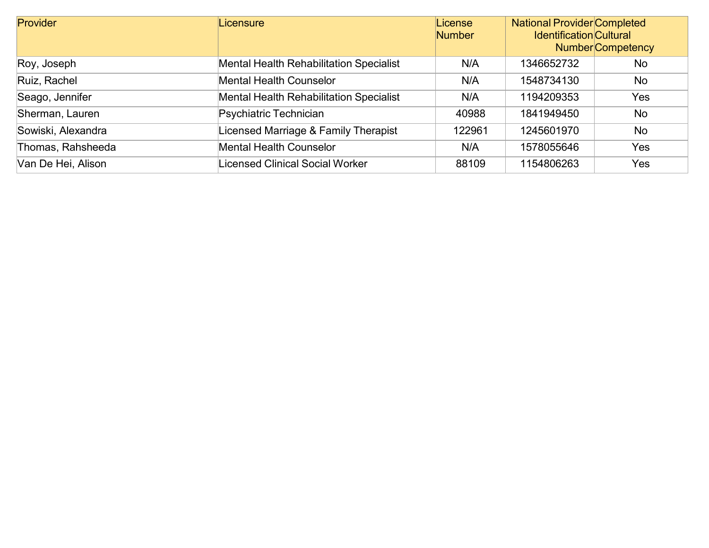| <b>Provider</b>    | Licensure                                      | License<br><b>Number</b> | National Provider Completed<br><b>Identification Cultural</b><br><b>Number</b> Competency |           |
|--------------------|------------------------------------------------|--------------------------|-------------------------------------------------------------------------------------------|-----------|
| Roy, Joseph        | <b>Mental Health Rehabilitation Specialist</b> | N/A                      | 1346652732                                                                                | No.       |
| Ruiz, Rachel       | <b>Mental Health Counselor</b>                 | N/A                      | 1548734130                                                                                | <b>No</b> |
| Seago, Jennifer    | <b>Mental Health Rehabilitation Specialist</b> | N/A                      | 1194209353                                                                                | Yes       |
| Sherman, Lauren    | Psychiatric Technician                         | 40988                    | 1841949450                                                                                | No        |
| Sowiski, Alexandra | Licensed Marriage & Family Therapist           | 122961                   | 1245601970                                                                                | <b>No</b> |
| Thomas, Rahsheeda  | <b>Mental Health Counselor</b>                 | N/A                      | 1578055646                                                                                | Yes       |
| Van De Hei, Alison | Licensed Clinical Social Worker                | 88109                    | 1154806263                                                                                | Yes       |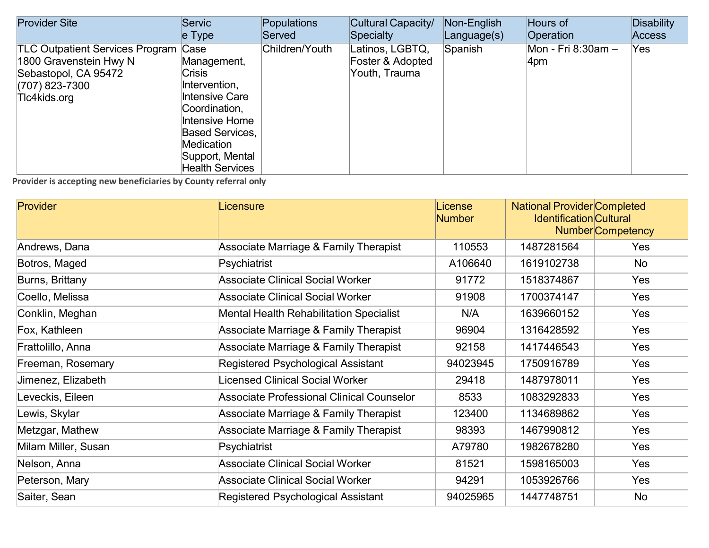| <b>Provider Site</b>                                                                                                            | Servic                                                                                                                                                                                  | Populations    | Cultural Capacity/                                   | Non-English | Hours of                  | <b>Disability</b> |
|---------------------------------------------------------------------------------------------------------------------------------|-----------------------------------------------------------------------------------------------------------------------------------------------------------------------------------------|----------------|------------------------------------------------------|-------------|---------------------------|-------------------|
|                                                                                                                                 | $e$ Type                                                                                                                                                                                | Served         | Specialty                                            | Language(s) | Operation                 | Access            |
| <b>TLC Outpatient Services Program Case</b><br>1800 Gravenstein Hwy N<br>Sebastopol, CA 95472<br>(707) 823-7300<br>Tlc4kids.org | Management,<br>Crisis<br>Intervention,<br><b>Intensive Care</b><br>Coordination,<br>Intensive Home<br><b>Based Services,</b><br>Medication<br>Support, Mental<br><b>Health Services</b> | Children/Youth | Latinos, LGBTQ,<br>Foster & Adopted<br>Youth, Trauma | Spanish     | Mon - Fri 8:30am -<br>4pm | Yes               |

| <b>Provider</b>     | Licensure                                        | License<br><b>Number</b> | <b>National Provider Completed</b><br><b>Identification Cultural</b><br><b>Number</b> Competency |            |
|---------------------|--------------------------------------------------|--------------------------|--------------------------------------------------------------------------------------------------|------------|
| Andrews, Dana       | Associate Marriage & Family Therapist            | 110553                   | 1487281564                                                                                       | Yes        |
| Botros, Maged       | Psychiatrist                                     | A106640                  | 1619102738                                                                                       | No         |
| Burns, Brittany     | <b>Associate Clinical Social Worker</b>          | 91772                    | 1518374867                                                                                       | Yes        |
| Coello, Melissa     | <b>Associate Clinical Social Worker</b>          | 91908                    | 1700374147                                                                                       | Yes        |
| Conklin, Meghan     | <b>Mental Health Rehabilitation Specialist</b>   | N/A                      | 1639660152                                                                                       | Yes        |
| Fox, Kathleen       | Associate Marriage & Family Therapist            | 96904                    | 1316428592                                                                                       | Yes        |
| Frattolillo, Anna   | <b>Associate Marriage &amp; Family Therapist</b> | 92158                    | 1417446543                                                                                       | Yes        |
| Freeman, Rosemary   | Registered Psychological Assistant               | 94023945                 | 1750916789                                                                                       | Yes        |
| Jimenez, Elizabeth  | Licensed Clinical Social Worker                  | 29418                    | 1487978011                                                                                       | Yes        |
| Leveckis, Eileen    | <b>Associate Professional Clinical Counselor</b> | 8533                     | 1083292833                                                                                       | Yes        |
| Lewis, Skylar       | <b>Associate Marriage &amp; Family Therapist</b> | 123400                   | 1134689862                                                                                       | Yes        |
| Metzgar, Mathew     | Associate Marriage & Family Therapist            | 98393                    | 1467990812                                                                                       | Yes        |
| Milam Miller, Susan | Psychiatrist                                     | A79780                   | 1982678280                                                                                       | Yes        |
| Nelson, Anna        | <b>Associate Clinical Social Worker</b>          | 81521                    | 1598165003                                                                                       | Yes        |
| Peterson, Mary      | <b>Associate Clinical Social Worker</b>          | 94291                    | 1053926766                                                                                       | <b>Yes</b> |
| Saiter, Sean        | Registered Psychological Assistant               | 94025965                 | 1447748751                                                                                       | <b>No</b>  |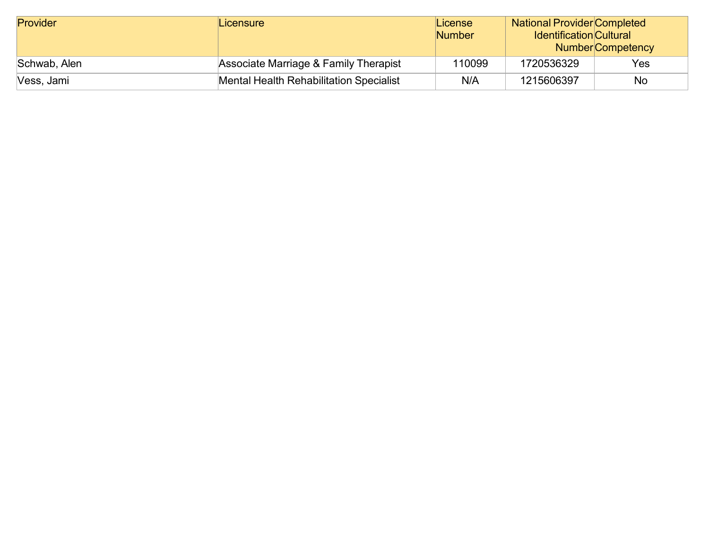| Provider     | Licensure                                      | License<br><b>Number</b> | <b>National Provider Completed</b><br><b>Identification Cultural</b> | Number Competency |
|--------------|------------------------------------------------|--------------------------|----------------------------------------------------------------------|-------------------|
| Schwab, Alen | Associate Marriage & Family Therapist          | 110099                   | 1720536329                                                           | Yes               |
| Vess, Jami   | <b>Mental Health Rehabilitation Specialist</b> | N/A                      | 1215606397                                                           | No                |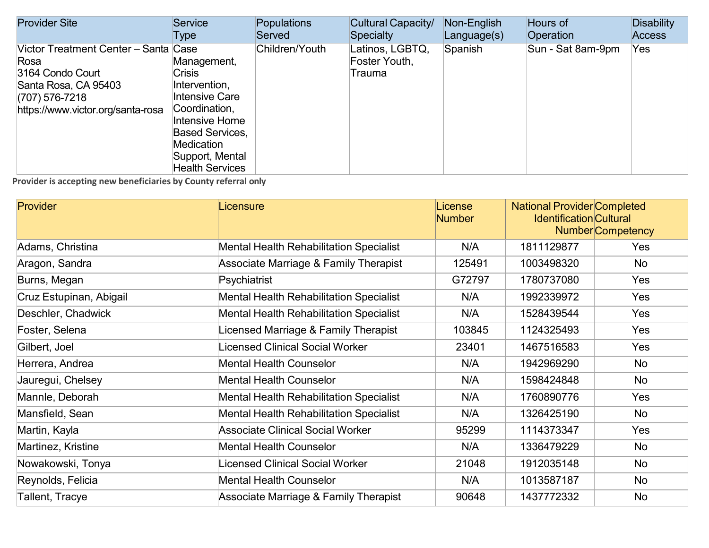| <b>Provider Site</b>                                                                                                                              | Service                                                                                                                                                                                 | Populations    | Cultural Capacity/                         | Non-English | Hours of          | <b>Disability</b> |
|---------------------------------------------------------------------------------------------------------------------------------------------------|-----------------------------------------------------------------------------------------------------------------------------------------------------------------------------------------|----------------|--------------------------------------------|-------------|-------------------|-------------------|
|                                                                                                                                                   | Type                                                                                                                                                                                    | Served         | Specialty                                  | Language(s) | Operation         | Access            |
| Victor Treatment Center - Santa Case<br>Rosa<br>3164 Condo Court<br>Santa Rosa, CA 95403<br>$(707)$ 576-7218<br>https://www.victor.org/santa-rosa | Management,<br><b>Crisis</b><br>Intervention,<br>Intensive Care<br>Coordination,<br>Intensive Home<br><b>Based Services,</b><br>Medication<br>Support, Mental<br><b>Health Services</b> | Children/Youth | Latinos, LGBTQ,<br>Foster Youth,<br>Trauma | Spanish     | Sun - Sat 8am-9pm | Yes               |

| Provider                  | Licensure                                      | License<br><b>Number</b> | <b>National Provider Completed</b><br><b>Identification Cultural</b><br><b>Number</b> Competency |           |
|---------------------------|------------------------------------------------|--------------------------|--------------------------------------------------------------------------------------------------|-----------|
| Adams, Christina          | <b>Mental Health Rehabilitation Specialist</b> | N/A                      | 1811129877                                                                                       | Yes       |
| Aragon, Sandra            | Associate Marriage & Family Therapist          | 125491                   | 1003498320                                                                                       | No        |
| Burns, Megan              | Psychiatrist                                   | G72797                   | 1780737080                                                                                       | Yes       |
| Cruz Estupinan, Abigail   | <b>Mental Health Rehabilitation Specialist</b> | N/A                      | 1992339972                                                                                       | Yes       |
| Deschler, Chadwick        | <b>Mental Health Rehabilitation Specialist</b> | N/A                      | 1528439544                                                                                       | Yes       |
| Foster, Selena            | Licensed Marriage & Family Therapist           | 103845                   | 1124325493                                                                                       | Yes       |
| Gilbert, Joel             | Licensed Clinical Social Worker                | 23401                    | 1467516583                                                                                       | Yes       |
| Herrera, Andrea           | <b>Mental Health Counselor</b>                 | N/A                      | 1942969290                                                                                       | No        |
| Jauregui, Chelsey         | <b>Mental Health Counselor</b>                 | N/A                      | 1598424848                                                                                       | No        |
| Mannle, Deborah           | <b>Mental Health Rehabilitation Specialist</b> | N/A                      | 1760890776                                                                                       | Yes       |
| Mansfield, Sean           | <b>Mental Health Rehabilitation Specialist</b> | N/A                      | 1326425190                                                                                       | No        |
| Martin, Kayla             | <b>Associate Clinical Social Worker</b>        | 95299                    | 1114373347                                                                                       | Yes       |
| <b>Martinez, Kristine</b> | <b>Mental Health Counselor</b>                 | N/A                      | 1336479229                                                                                       | <b>No</b> |
| Nowakowski, Tonya         | Licensed Clinical Social Worker                | 21048                    | 1912035148                                                                                       | <b>No</b> |
| Reynolds, Felicia         | <b>Mental Health Counselor</b>                 | N/A                      | 1013587187                                                                                       | <b>No</b> |
| Tallent, Tracye           | Associate Marriage & Family Therapist          | 90648                    | 1437772332                                                                                       | <b>No</b> |